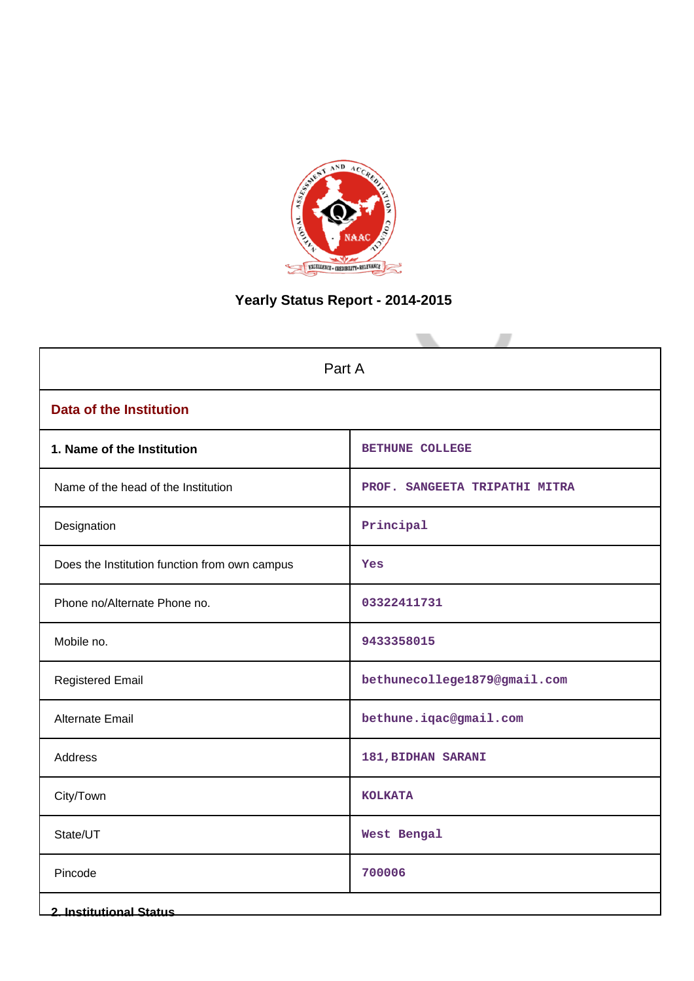

# **Yearly Status Report - 2014-2015**

| Part A                                        |                               |  |
|-----------------------------------------------|-------------------------------|--|
| <b>Data of the Institution</b>                |                               |  |
| 1. Name of the Institution                    | <b>BETHUNE COLLEGE</b>        |  |
| Name of the head of the Institution           | PROF. SANGEETA TRIPATHI MITRA |  |
| Designation                                   | Principal                     |  |
| Does the Institution function from own campus | Yes                           |  |
| Phone no/Alternate Phone no.                  | 03322411731                   |  |
| Mobile no.                                    | 9433358015                    |  |
| <b>Registered Email</b>                       | bethunecollege1879@gmail.com  |  |
| Alternate Email                               | bethune.iqac@gmail.com        |  |
| Address                                       | 181, BIDHAN SARANI            |  |
| City/Town                                     | <b>KOLKATA</b>                |  |
| State/UT                                      | West Bengal                   |  |
| Pincode                                       | 700006                        |  |
| <b>2. Institutional Status</b>                |                               |  |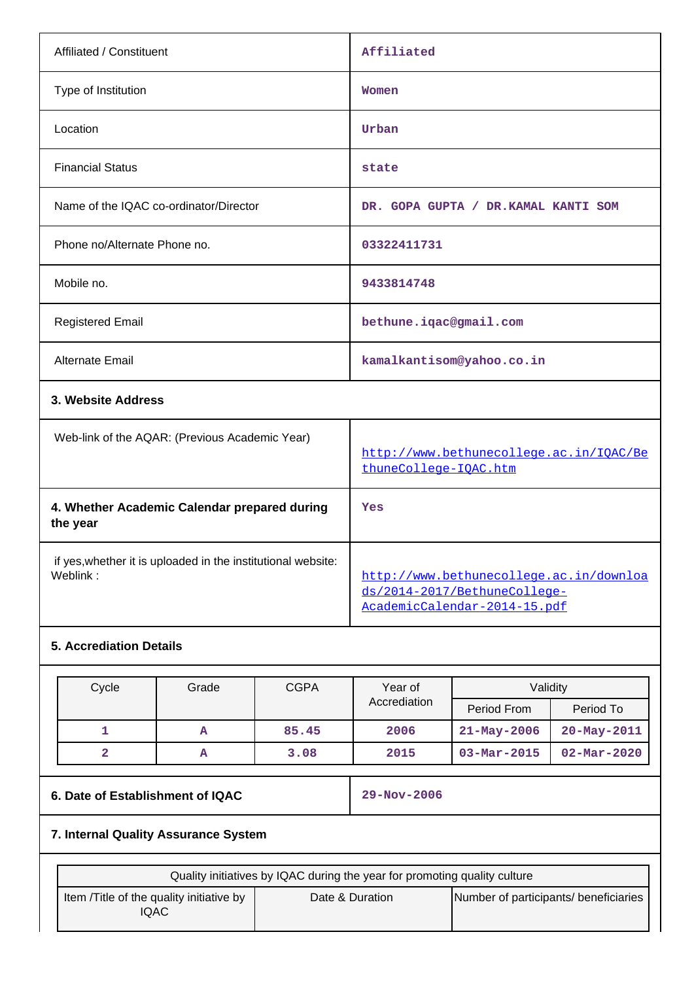| Affiliated / Constituent                                                 | Affiliated                                                                                              |
|--------------------------------------------------------------------------|---------------------------------------------------------------------------------------------------------|
| Type of Institution                                                      | Women                                                                                                   |
| Location                                                                 | Urban                                                                                                   |
| <b>Financial Status</b>                                                  | state                                                                                                   |
| Name of the IQAC co-ordinator/Director                                   | DR. GOPA GUPTA / DR. KAMAL KANTI SOM                                                                    |
| Phone no/Alternate Phone no.                                             | 03322411731                                                                                             |
| Mobile no.                                                               | 9433814748                                                                                              |
| <b>Registered Email</b>                                                  | bethune.iqac@gmail.com                                                                                  |
| Alternate Email                                                          | kamalkantisom@yahoo.co.in                                                                               |
| 3. Website Address                                                       |                                                                                                         |
| Web-link of the AQAR: (Previous Academic Year)                           | http://www.bethunecollege.ac.in/IOAC/Be<br>thuneCollege-IQAC.htm                                        |
| 4. Whether Academic Calendar prepared during<br>the year                 | Yes                                                                                                     |
| if yes, whether it is uploaded in the institutional website:<br>Weblink: | http://www.bethunecollege.ac.in/downloa<br>ds/2014-2017/BethuneCollege-<br>AcademicCalendar-2014-15.pdf |
| <b>5. Accrediation Details</b>                                           |                                                                                                         |
|                                                                          |                                                                                                         |

| Cycle | Grade | <b>CGPA</b> | Year of      | Validity                 |                          |
|-------|-------|-------------|--------------|--------------------------|--------------------------|
|       |       |             | Accrediation | Period From              | Period To                |
|       | А     | 85.45       | 2006         | $21 - May - 2006$        | $20 - May - 2011$        |
|       | А     | 3.08        | 2015         | $03 - \text{Mar} - 2015$ | $02 - \text{Mar} - 2020$ |

# **6. Date of Establishment of IQAC 29-Nov-2006**

## **7. Internal Quality Assurance System**

| Quality initiatives by IQAC during the year for promoting quality culture |  |                 |                                       |
|---------------------------------------------------------------------------|--|-----------------|---------------------------------------|
| Item / Title of the quality initiative by<br>IQAC                         |  | Date & Duration | Number of participants/ beneficiaries |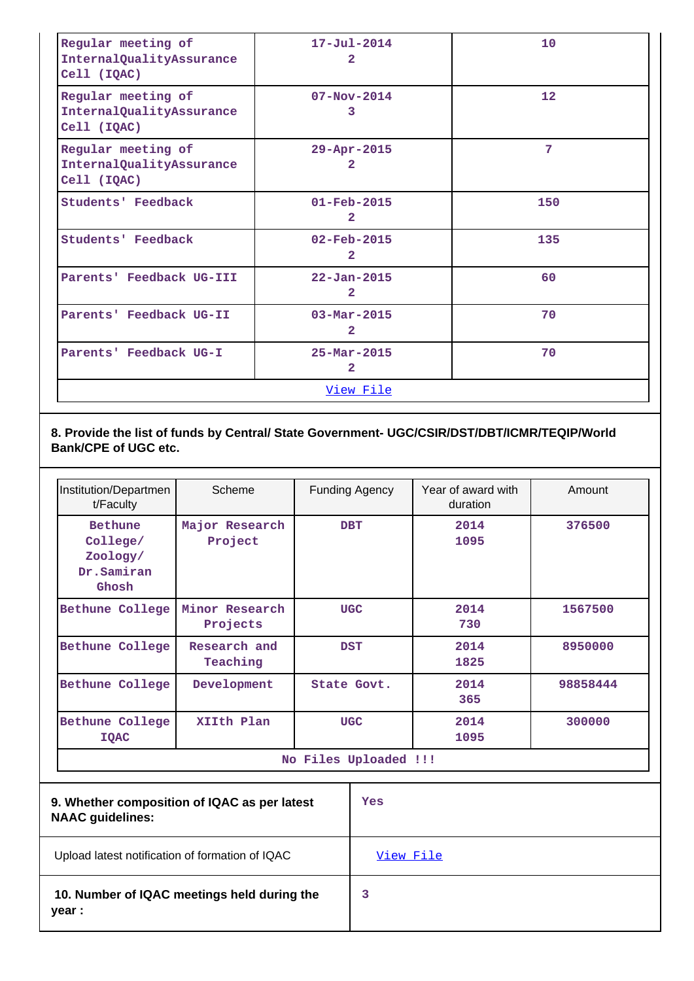| Regular meeting of<br>InternalQualityAssurance<br>Cell (IQAC) | $17 - Ju1 - 2014$<br>$\overline{2}$        | 10                |
|---------------------------------------------------------------|--------------------------------------------|-------------------|
| Regular meeting of<br>InternalQualityAssurance<br>Cell (IQAC) | $07 - Nov - 2014$<br>3                     | $12 \overline{ }$ |
| Regular meeting of<br>InternalQualityAssurance<br>Cell (IQAC) | 29-Apr-2015<br>2                           | 7                 |
| <b>Students' Feedback</b>                                     | $01 - \text{Feb} - 2015$<br>$\mathbf{2}$   | 150               |
| <b>Students' Feedback</b>                                     | $02 - \text{Feb} - 2015$<br>$\overline{2}$ | 135               |
| Parents' Feedback UG-III                                      | $22 - Jan - 2015$<br>$\mathbf{2}$          | 60                |
| Parents' Feedback UG-II                                       | $03 - \text{Mar} - 2015$<br>$\mathbf{2}$   | 70                |
| Parents' Feedback UG-I                                        | $25 - \text{Mar} - 2015$<br>$\overline{2}$ | 70                |
|                                                               | View File                                  |                   |

## **8. Provide the list of funds by Central/ State Government- UGC/CSIR/DST/DBT/ICMR/TEQIP/World Bank/CPE of UGC etc.**

| Institution/Departmen<br>t/Faculty                            | Scheme                     | <b>Funding Agency</b> | Year of award with<br>duration | Amount   |
|---------------------------------------------------------------|----------------------------|-----------------------|--------------------------------|----------|
| <b>Bethune</b><br>College/<br>Zoology/<br>Dr.Samiran<br>Ghosh | Major Research<br>Project  | <b>DBT</b>            | 2014<br>1095                   | 376500   |
| Bethune College                                               | Minor Research<br>Projects | <b>UGC</b>            | 2014<br>730                    | 1567500  |
| Bethune College                                               | Research and<br>Teaching   | <b>DST</b>            | 2014<br>1825                   | 8950000  |
| Bethune College                                               | Development                | State Govt.           | 2014<br>365                    | 98858444 |
| Bethune College<br><b>IQAC</b>                                | XIIth Plan                 | <b>UGC</b>            | 2014<br>1095                   | 300000   |
| No Files Uploaded !!!                                         |                            |                       |                                |          |

| 9. Whether composition of IQAC as per latest<br><b>NAAC guidelines:</b> | Yes              |
|-------------------------------------------------------------------------|------------------|
| Upload latest notification of formation of IQAC                         | <u>View File</u> |
| 10. Number of IQAC meetings held during the<br>year :                   | 3                |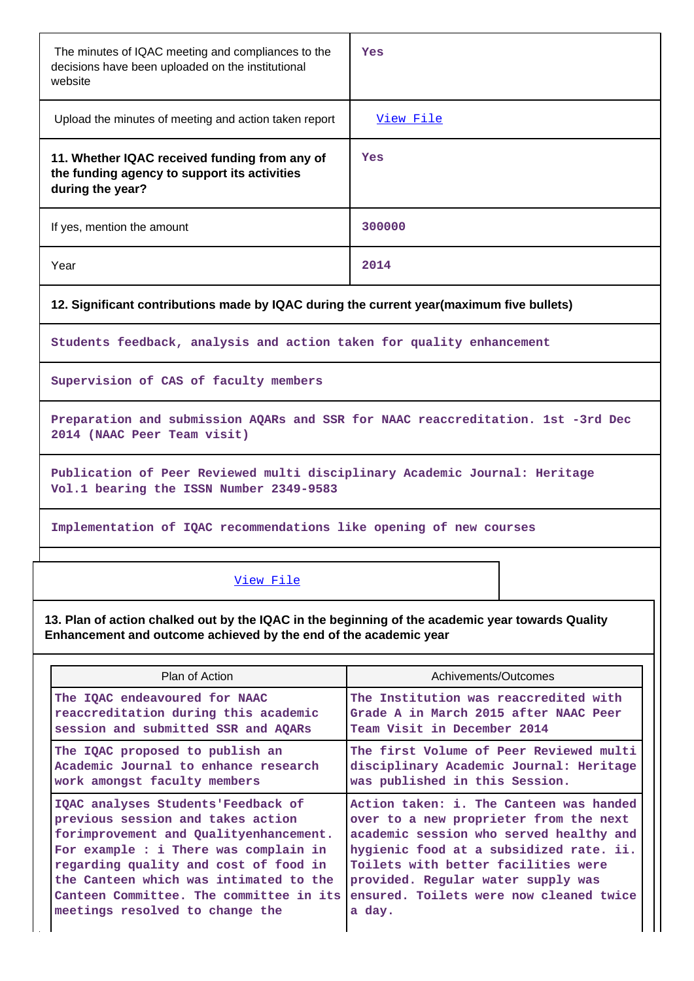| The minutes of IQAC meeting and compliances to the<br>decisions have been uploaded on the institutional<br>website    | Yes       |  |  |
|-----------------------------------------------------------------------------------------------------------------------|-----------|--|--|
| Upload the minutes of meeting and action taken report                                                                 | View File |  |  |
| 11. Whether IQAC received funding from any of<br>the funding agency to support its activities<br>during the year?     | Yes       |  |  |
| If yes, mention the amount                                                                                            | 300000    |  |  |
| Year                                                                                                                  | 2014      |  |  |
| 12. Significant contributions made by IQAC during the current year(maximum five bullets)                              |           |  |  |
| Students feedback, analysis and action taken for quality enhancement                                                  |           |  |  |
| Supervision of CAS of faculty members                                                                                 |           |  |  |
| Preparation and submission AQARs and SSR for NAAC reaccreditation. 1st -3rd Dec<br>2014 (NAAC Peer Team visit)        |           |  |  |
| Publication of Peer Reviewed multi disciplinary Academic Journal: Heritage<br>Vol.1 bearing the ISSN Number 2349-9583 |           |  |  |
| Implementation of IQAC recommendations like opening of new courses                                                    |           |  |  |
| View File                                                                                                             |           |  |  |

**13. Plan of action chalked out by the IQAC in the beginning of the academic year towards Quality Enhancement and outcome achieved by the end of the academic year**

| Plan of Action                          | Achivements/Outcomes                    |
|-----------------------------------------|-----------------------------------------|
| The IQAC endeavoured for NAAC           | The Institution was reaccredited with   |
| reaccreditation during this academic    | Grade A in March 2015 after NAAC Peer   |
| session and submitted SSR and AQARS     | Team Visit in December 2014             |
| The IQAC proposed to publish an         | The first Volume of Peer Reviewed multi |
| Academic Journal to enhance research    | disciplinary Academic Journal: Heritage |
| work amongst faculty members            | was published in this Session.          |
| IQAC analyses Students'Feedback of      | Action taken: i. The Canteen was handed |
| previous session and takes action       | over to a new proprieter from the next  |
| forimprovement and Qualityenhancement.  | academic session who served healthy and |
| For example : i There was complain in   | hygienic food at a subsidized rate. ii. |
| regarding quality and cost of food in   | Toilets with better facilities were     |
| the Canteen which was intimated to the  | provided. Regular water supply was      |
| Canteen Committee. The committee in its | ensured. Toilets were now cleaned twice |
| meetings resolved to change the         | a day.                                  |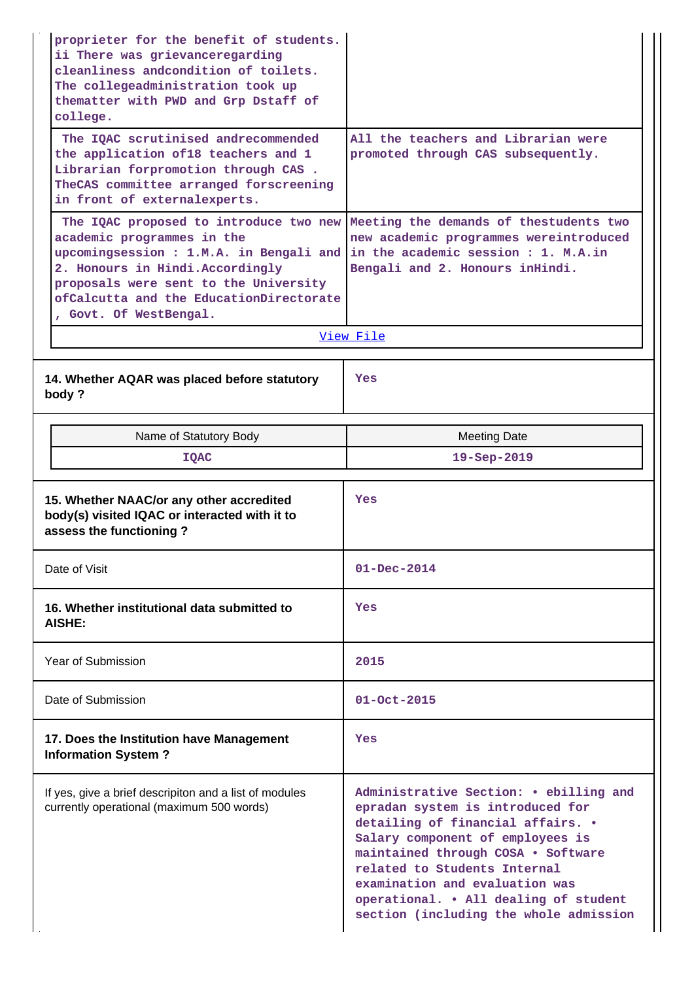| proprieter for the benefit of students.<br>ii There was grievanceregarding<br>cleanliness and condition of toilets.<br>The collegeadministration took up<br>thematter with PWD and Grp Dstaff of<br>college.                                                      |                                                                                                                                                            |
|-------------------------------------------------------------------------------------------------------------------------------------------------------------------------------------------------------------------------------------------------------------------|------------------------------------------------------------------------------------------------------------------------------------------------------------|
| The IQAC scrutinised andrecommended<br>the application of18 teachers and 1<br>Librarian forpromotion through CAS.<br>TheCAS committee arranged forscreening<br>in front of externalexperts.                                                                       | All the teachers and Librarian were<br>promoted through CAS subsequently.                                                                                  |
| The IQAC proposed to introduce two new<br>academic programmes in the<br>upcomingsession : 1.M.A. in Bengali and<br>2. Honours in Hindi. Accordingly<br>proposals were sent to the University<br>ofCalcutta and the EducationDirectorate<br>, Govt. Of WestBengal. | Meeting the demands of thestudents two<br>new academic programmes wereintroduced<br>in the academic session : 1. M.A.in<br>Bengali and 2. Honours inHindi. |
|                                                                                                                                                                                                                                                                   | View File                                                                                                                                                  |
| 14. Whether AQAR was placed before statutory<br>body?                                                                                                                                                                                                             | Yes                                                                                                                                                        |
| Name of Statutory Body                                                                                                                                                                                                                                            | <b>Meeting Date</b>                                                                                                                                        |
| <b>IQAC</b>                                                                                                                                                                                                                                                       | 19-Sep-2019                                                                                                                                                |
|                                                                                                                                                                                                                                                                   |                                                                                                                                                            |
| 15. Whether NAAC/or any other accredited<br>body(s) visited IQAC or interacted with it to<br>assess the functioning?                                                                                                                                              | Yes                                                                                                                                                        |
| Date of Visit                                                                                                                                                                                                                                                     | $01 - Dec - 2014$                                                                                                                                          |
| 16. Whether institutional data submitted to<br>AISHE:                                                                                                                                                                                                             | Yes                                                                                                                                                        |
| Year of Submission                                                                                                                                                                                                                                                | 2015                                                                                                                                                       |
| Date of Submission                                                                                                                                                                                                                                                | $01 - Oct - 2015$                                                                                                                                          |
| 17. Does the Institution have Management<br><b>Information System?</b>                                                                                                                                                                                            | Yes                                                                                                                                                        |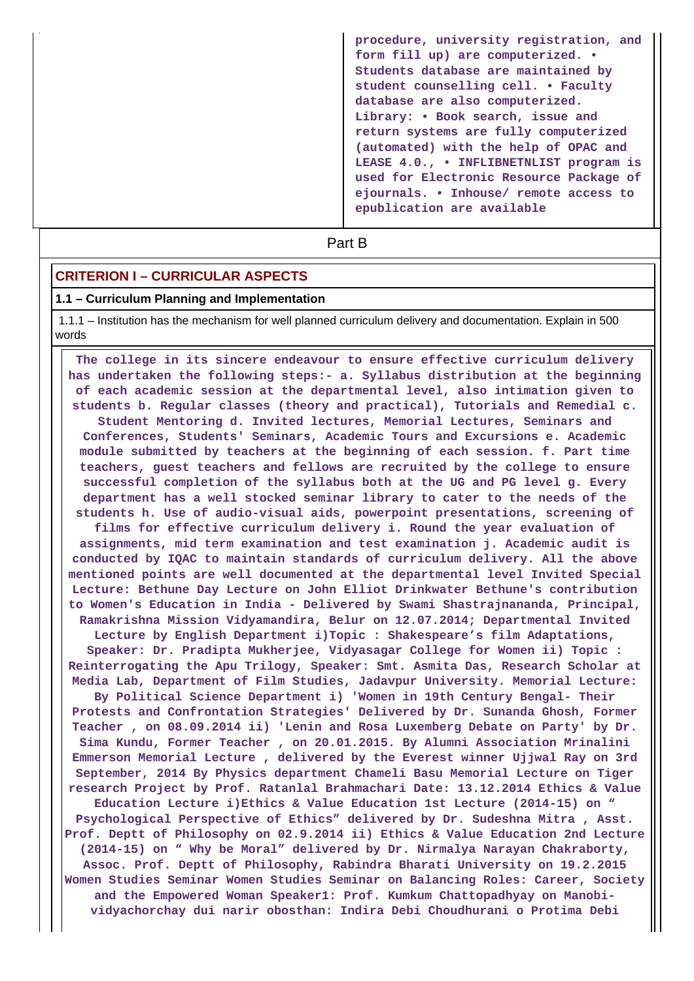**procedure, university registration, and form fill up) are computerized. • Students database are maintained by student counselling cell. • Faculty database are also computerized. Library: • Book search, issue and return systems are fully computerized (automated) with the help of OPAC and LEASE 4.0., • INFLIBNETNLIST program is used for Electronic Resource Package of ejournals. • Inhouse/ remote access to epublication are available**

**Part B** 

## **CRITERION I – CURRICULAR ASPECTS**

#### **1.1 – Curriculum Planning and Implementation**

 1.1.1 – Institution has the mechanism for well planned curriculum delivery and documentation. Explain in 500 words

 **The college in its sincere endeavour to ensure effective curriculum delivery has undertaken the following steps:- a. Syllabus distribution at the beginning of each academic session at the departmental level, also intimation given to students b. Regular classes (theory and practical), Tutorials and Remedial c. Student Mentoring d. Invited lectures, Memorial Lectures, Seminars and Conferences, Students' Seminars, Academic Tours and Excursions e. Academic module submitted by teachers at the beginning of each session. f. Part time teachers, guest teachers and fellows are recruited by the college to ensure successful completion of the syllabus both at the UG and PG level g. Every department has a well stocked seminar library to cater to the needs of the students h. Use of audio-visual aids, powerpoint presentations, screening of films for effective curriculum delivery i. Round the year evaluation of assignments, mid term examination and test examination j. Academic audit is conducted by IQAC to maintain standards of curriculum delivery. All the above mentioned points are well documented at the departmental level Invited Special Lecture: Bethune Day Lecture on John Elliot Drinkwater Bethune's contribution to Women's Education in India - Delivered by Swami Shastrajnananda, Principal, Ramakrishna Mission Vidyamandira, Belur on 12.07.2014; Departmental Invited Lecture by English Department i)Topic : Shakespeare's film Adaptations, Speaker: Dr. Pradipta Mukherjee, Vidyasagar College for Women ii) Topic : Reinterrogating the Apu Trilogy, Speaker: Smt. Asmita Das, Research Scholar at Media Lab, Department of Film Studies, Jadavpur University. Memorial Lecture: By Political Science Department i) 'Women in 19th Century Bengal- Their Protests and Confrontation Strategies' Delivered by Dr. Sunanda Ghosh, Former Teacher , on 08.09.2014 ii) 'Lenin and Rosa Luxemberg Debate on Party' by Dr. Sima Kundu, Former Teacher , on 20.01.2015. By Alumni Association Mrinalini Emmerson Memorial Lecture , delivered by the Everest winner Ujjwal Ray on 3rd September, 2014 By Physics department Chameli Basu Memorial Lecture on Tiger research Project by Prof. Ratanlal Brahmachari Date: 13.12.2014 Ethics & Value Education Lecture i)Ethics & Value Education 1st Lecture (2014-15) on " Psychological Perspective of Ethics" delivered by Dr. Sudeshna Mitra , Asst. Prof. Deptt of Philosophy on 02.9.2014 ii) Ethics & Value Education 2nd Lecture (2014-15) on " Why be Moral" delivered by Dr. Nirmalya Narayan Chakraborty, Assoc. Prof. Deptt of Philosophy, Rabindra Bharati University on 19.2.2015 Women Studies Seminar Women Studies Seminar on Balancing Roles: Career, Society and the Empowered Woman Speaker1: Prof. Kumkum Chattopadhyay on Manobividyachorchay dui narir obosthan: Indira Debi Choudhurani o Protima Debi**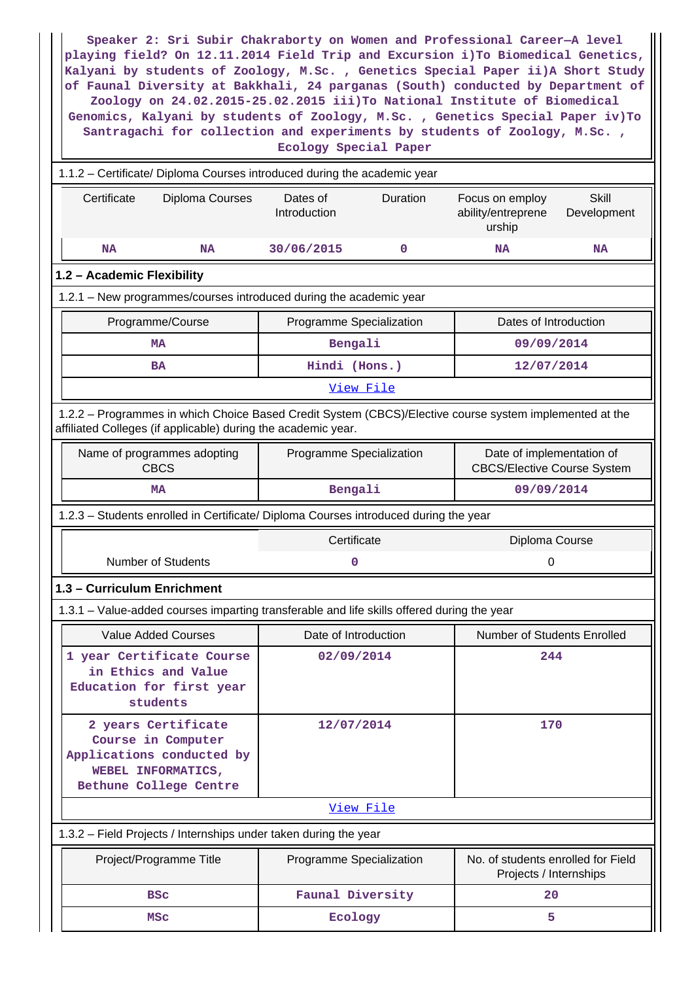| Speaker 2: Sri Subir Chakraborty on Women and Professional Career-A level<br>playing field? On 12.11.2014 Field Trip and Excursion i) To Biomedical Genetics,<br>Kalyani by students of Zoology, M.Sc., Genetics Special Paper ii)A Short Study<br>of Faunal Diversity at Bakkhali, 24 parganas (South) conducted by Department of<br>Zoology on 24.02.2015-25.02.2015 iii) To National Institute of Biomedical<br>Genomics, Kalyani by students of Zoology, M.Sc., Genetics Special Paper iv)To<br>Santragachi for collection and experiments by students of Zoology, M.Sc.,<br>Ecology Special Paper |                                      |                                                                                |  |  |
|--------------------------------------------------------------------------------------------------------------------------------------------------------------------------------------------------------------------------------------------------------------------------------------------------------------------------------------------------------------------------------------------------------------------------------------------------------------------------------------------------------------------------------------------------------------------------------------------------------|--------------------------------------|--------------------------------------------------------------------------------|--|--|
| 1.1.2 - Certificate/ Diploma Courses introduced during the academic year                                                                                                                                                                                                                                                                                                                                                                                                                                                                                                                               |                                      |                                                                                |  |  |
| Certificate<br>Diploma Courses                                                                                                                                                                                                                                                                                                                                                                                                                                                                                                                                                                         | Dates of<br>Duration<br>Introduction | <b>Skill</b><br>Focus on employ<br>ability/entreprene<br>Development<br>urship |  |  |
| <b>NA</b><br><b>NA</b>                                                                                                                                                                                                                                                                                                                                                                                                                                                                                                                                                                                 | 30/06/2015<br>0                      | <b>NA</b><br><b>NA</b>                                                         |  |  |
| 1.2 - Academic Flexibility                                                                                                                                                                                                                                                                                                                                                                                                                                                                                                                                                                             |                                      |                                                                                |  |  |
| 1.2.1 - New programmes/courses introduced during the academic year                                                                                                                                                                                                                                                                                                                                                                                                                                                                                                                                     |                                      |                                                                                |  |  |
| Programme/Course                                                                                                                                                                                                                                                                                                                                                                                                                                                                                                                                                                                       | Programme Specialization             | Dates of Introduction                                                          |  |  |
| MA                                                                                                                                                                                                                                                                                                                                                                                                                                                                                                                                                                                                     | Bengali                              | 09/09/2014                                                                     |  |  |
| <b>BA</b>                                                                                                                                                                                                                                                                                                                                                                                                                                                                                                                                                                                              | Hindi (Hons.)                        | 12/07/2014                                                                     |  |  |
|                                                                                                                                                                                                                                                                                                                                                                                                                                                                                                                                                                                                        | View File                            |                                                                                |  |  |
| 1.2.2 - Programmes in which Choice Based Credit System (CBCS)/Elective course system implemented at the<br>affiliated Colleges (if applicable) during the academic year.                                                                                                                                                                                                                                                                                                                                                                                                                               |                                      |                                                                                |  |  |
| Name of programmes adopting<br><b>CBCS</b>                                                                                                                                                                                                                                                                                                                                                                                                                                                                                                                                                             | Programme Specialization             | Date of implementation of<br><b>CBCS/Elective Course System</b>                |  |  |
| MA                                                                                                                                                                                                                                                                                                                                                                                                                                                                                                                                                                                                     | Bengali                              | 09/09/2014                                                                     |  |  |
| 1.2.3 - Students enrolled in Certificate/ Diploma Courses introduced during the year                                                                                                                                                                                                                                                                                                                                                                                                                                                                                                                   |                                      |                                                                                |  |  |
|                                                                                                                                                                                                                                                                                                                                                                                                                                                                                                                                                                                                        | Certificate                          | Diploma Course                                                                 |  |  |
| <b>Number of Students</b>                                                                                                                                                                                                                                                                                                                                                                                                                                                                                                                                                                              | 0                                    | 0                                                                              |  |  |
| 1.3 - Curriculum Enrichment                                                                                                                                                                                                                                                                                                                                                                                                                                                                                                                                                                            |                                      |                                                                                |  |  |
| 1.3.1 – Value-added courses imparting transferable and life skills offered during the year                                                                                                                                                                                                                                                                                                                                                                                                                                                                                                             |                                      |                                                                                |  |  |
| <b>Value Added Courses</b>                                                                                                                                                                                                                                                                                                                                                                                                                                                                                                                                                                             | Date of Introduction                 | <b>Number of Students Enrolled</b>                                             |  |  |
| 1 year Certificate Course<br>in Ethics and Value<br>Education for first year<br>students                                                                                                                                                                                                                                                                                                                                                                                                                                                                                                               | 02/09/2014                           | 244                                                                            |  |  |
| 2 years Certificate<br>Course in Computer<br>Applications conducted by<br>WEBEL INFORMATICS,<br>Bethune College Centre                                                                                                                                                                                                                                                                                                                                                                                                                                                                                 | 12/07/2014                           | 170                                                                            |  |  |
|                                                                                                                                                                                                                                                                                                                                                                                                                                                                                                                                                                                                        | View File                            |                                                                                |  |  |
| 1.3.2 - Field Projects / Internships under taken during the year                                                                                                                                                                                                                                                                                                                                                                                                                                                                                                                                       |                                      |                                                                                |  |  |
| Project/Programme Title                                                                                                                                                                                                                                                                                                                                                                                                                                                                                                                                                                                | Programme Specialization             | No. of students enrolled for Field<br>Projects / Internships                   |  |  |
| <b>BSC</b>                                                                                                                                                                                                                                                                                                                                                                                                                                                                                                                                                                                             | Faunal Diversity                     | 20                                                                             |  |  |
| MSc                                                                                                                                                                                                                                                                                                                                                                                                                                                                                                                                                                                                    | Ecology                              | 5                                                                              |  |  |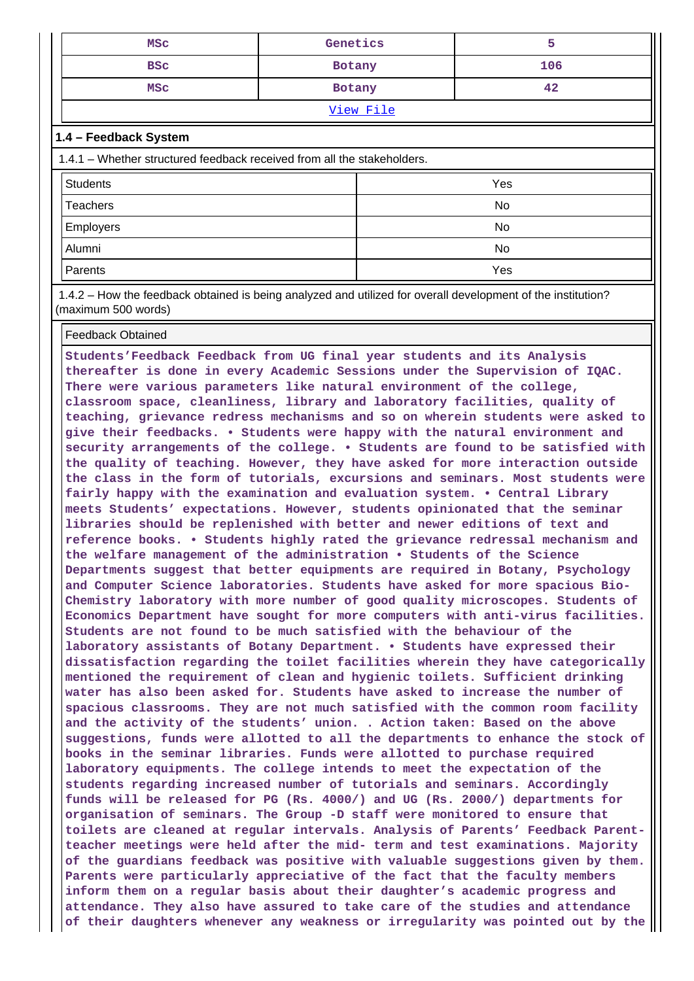| MSC        | Genetics |     |
|------------|----------|-----|
| <b>BSC</b> | Botany   | 106 |
| MSC        | Botany   | 42  |
| View File  |          |     |

### **1.4 – Feedback System**

| 1.4.1 – Whether structured feedback received from all the stakeholders. |     |  |  |  |  |  |  |
|-------------------------------------------------------------------------|-----|--|--|--|--|--|--|
| <b>Students</b>                                                         | Yes |  |  |  |  |  |  |
| <b>Teachers</b>                                                         | No  |  |  |  |  |  |  |
| <b>Employers</b>                                                        | No  |  |  |  |  |  |  |
| Alumni                                                                  | No  |  |  |  |  |  |  |
| Parents                                                                 | Yes |  |  |  |  |  |  |

 1.4.2 – How the feedback obtained is being analyzed and utilized for overall development of the institution? (maximum 500 words)

#### Feedback Obtained

**Students'Feedback Feedback from UG final year students and its Analysis thereafter is done in every Academic Sessions under the Supervision of IQAC. There were various parameters like natural environment of the college, classroom space, cleanliness, library and laboratory facilities, quality of teaching, grievance redress mechanisms and so on wherein students were asked to give their feedbacks. • Students were happy with the natural environment and security arrangements of the college. • Students are found to be satisfied with the quality of teaching. However, they have asked for more interaction outside the class in the form of tutorials, excursions and seminars. Most students were fairly happy with the examination and evaluation system. • Central Library meets Students' expectations. However, students opinionated that the seminar libraries should be replenished with better and newer editions of text and reference books. • Students highly rated the grievance redressal mechanism and the welfare management of the administration • Students of the Science Departments suggest that better equipments are required in Botany, Psychology and Computer Science laboratories. Students have asked for more spacious Bio-Chemistry laboratory with more number of good quality microscopes. Students of Economics Department have sought for more computers with anti-virus facilities. Students are not found to be much satisfied with the behaviour of the laboratory assistants of Botany Department. • Students have expressed their dissatisfaction regarding the toilet facilities wherein they have categorically mentioned the requirement of clean and hygienic toilets. Sufficient drinking water has also been asked for. Students have asked to increase the number of spacious classrooms. They are not much satisfied with the common room facility and the activity of the students' union. . Action taken: Based on the above suggestions, funds were allotted to all the departments to enhance the stock of books in the seminar libraries. Funds were allotted to purchase required laboratory equipments. The college intends to meet the expectation of the students regarding increased number of tutorials and seminars. Accordingly funds will be released for PG (Rs. 4000/) and UG (Rs. 2000/) departments for organisation of seminars. The Group -D staff were monitored to ensure that toilets are cleaned at regular intervals. Analysis of Parents' Feedback Parentteacher meetings were held after the mid- term and test examinations. Majority of the guardians feedback was positive with valuable suggestions given by them. Parents were particularly appreciative of the fact that the faculty members inform them on a regular basis about their daughter's academic progress and attendance. They also have assured to take care of the studies and attendance of their daughters whenever any weakness or irregularity was pointed out by the**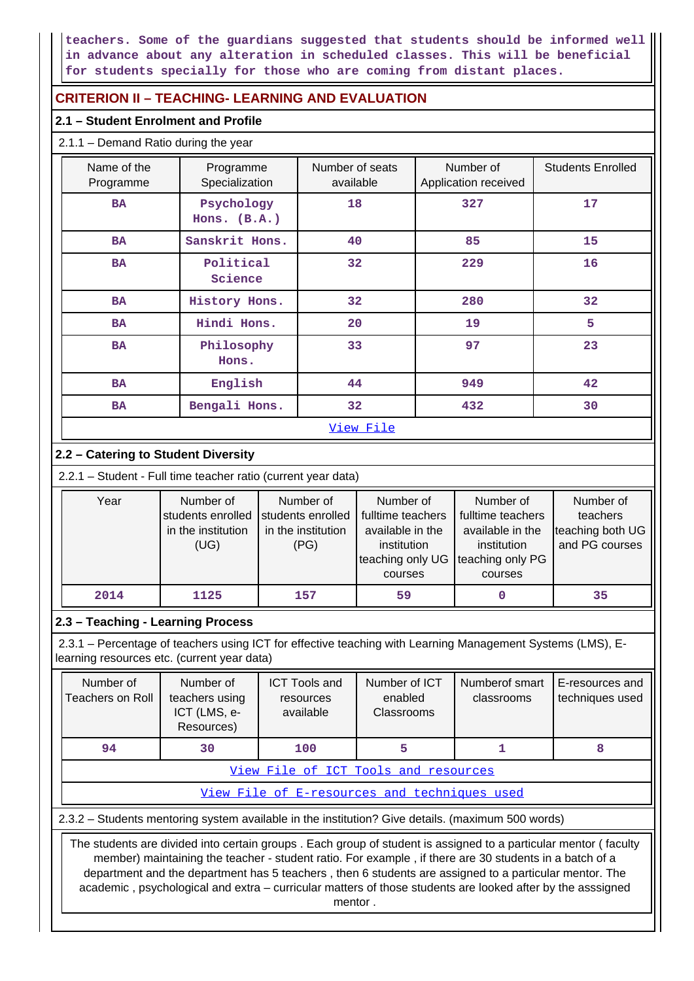**teachers. Some of the guardians suggested that students should be informed well in advance about any alteration in scheduled classes. This will be beneficial for students specially for those who are coming from distant places.**

## **CRITERION II – TEACHING- LEARNING AND EVALUATION**

## **2.1 – Student Enrolment and Profile**

| $2.1.1 -$ Demand Ratio during the year |                              |                              |                                   |                          |
|----------------------------------------|------------------------------|------------------------------|-----------------------------------|--------------------------|
| Name of the<br>Programme               | Programme<br>Specialization  | Number of seats<br>available | Number of<br>Application received | <b>Students Enrolled</b> |
| <b>BA</b>                              | Psychology<br>Hons. $(B.A.)$ | 18                           | 327                               | 17                       |
| <b>BA</b>                              | Sanskrit Hons.               | 40                           | 85                                | 15                       |
| <b>BA</b>                              | Political<br>Science         | 32 <sub>2</sub>              | 229                               | 16                       |
| <b>BA</b>                              | History Hons.                | 32 <sub>2</sub>              | 280                               | 32                       |
| <b>BA</b>                              | Hindi Hons.                  | 20                           | 19                                | 5                        |
| <b>BA</b>                              | Philosophy<br>Hons.          | 33                           | 97                                | 23                       |
| <b>BA</b>                              | English                      | 44                           | 949                               | 42                       |
| <b>BA</b>                              | Bengali Hons.                | 32 <sub>2</sub>              | 432                               | 30                       |
|                                        |                              | View File                    |                                   |                          |

## **2.2 – Catering to Student Diversity**

2.2.1 – Student - Full time teacher ratio (current year data)

| Year | Number of<br>students enrolled<br>in the institution<br>(UG) | Number of<br>students enrolled<br>in the institution<br>(PG) | Number of<br>fulltime teachers<br>available in the<br>institution<br>teaching only UG<br>courses | Number of<br>fulltime teachers<br>available in the<br>institution<br>teaching only PG<br>courses | Number of<br>teachers<br>teaching both UG<br>and PG courses |
|------|--------------------------------------------------------------|--------------------------------------------------------------|--------------------------------------------------------------------------------------------------|--------------------------------------------------------------------------------------------------|-------------------------------------------------------------|
| 2014 | 1125                                                         | 157                                                          | 59                                                                                               |                                                                                                  | 35                                                          |

## **2.3 – Teaching - Learning Process**

 2.3.1 – Percentage of teachers using ICT for effective teaching with Learning Management Systems (LMS), Elearning resources etc. (current year data)

| Number of<br>Teachers on Roll | Number of<br>teachers using<br>ICT (LMS, e-<br>Resources) | <b>ICT Tools and</b><br>resources<br>available | Number of ICT<br>enabled<br>Classrooms | Numberof smart<br>classrooms | E-resources and<br>techniques used |  |  |  |  |
|-------------------------------|-----------------------------------------------------------|------------------------------------------------|----------------------------------------|------------------------------|------------------------------------|--|--|--|--|
| 94                            | 30                                                        | 100                                            |                                        |                              | 8                                  |  |  |  |  |
|                               | View File of ICT Tools and resources                      |                                                |                                        |                              |                                    |  |  |  |  |

[View File of E-resources and techniques used](https://assessmentonline.naac.gov.in/public/Postacc/e_resource/3299_e_resource_1578985366.xlsx)

2.3.2 – Students mentoring system available in the institution? Give details. (maximum 500 words)

 The students are divided into certain groups . Each group of student is assigned to a particular mentor ( faculty member) maintaining the teacher - student ratio. For example , if there are 30 students in a batch of a department and the department has 5 teachers , then 6 students are assigned to a particular mentor. The academic , psychological and extra – curricular matters of those students are looked after by the asssigned mentor .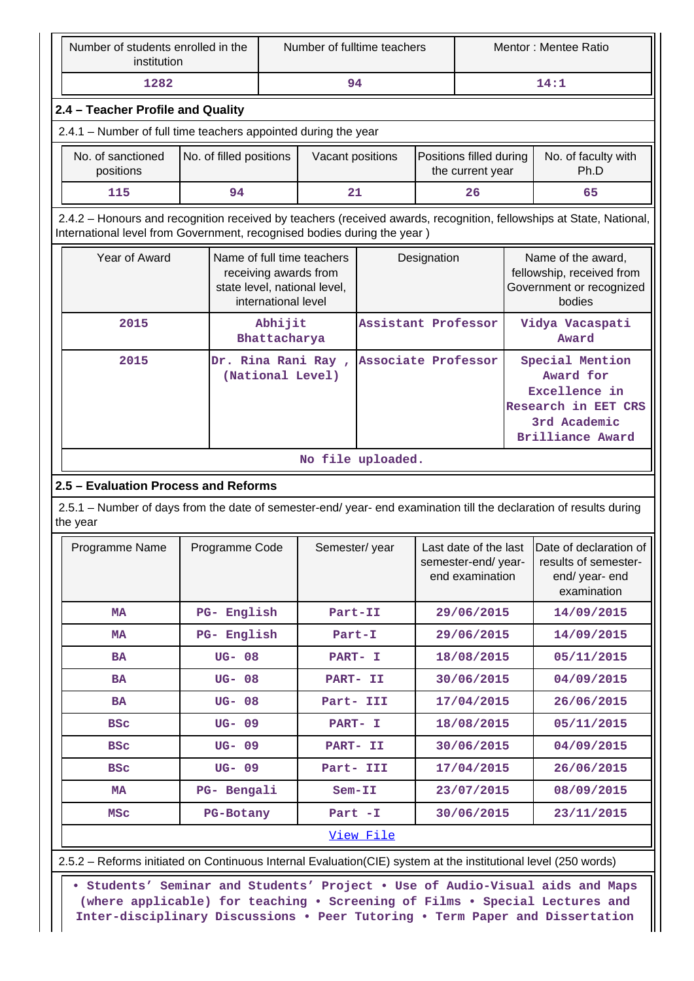| Number of students enrolled in the<br>institution                                                                                                                                                                                            |  |                         | Number of fulltime teachers |                                                                                                            |                     | Mentor: Mentee Ratio |                                             |  |                                                                                                                     |  |
|----------------------------------------------------------------------------------------------------------------------------------------------------------------------------------------------------------------------------------------------|--|-------------------------|-----------------------------|------------------------------------------------------------------------------------------------------------|---------------------|----------------------|---------------------------------------------|--|---------------------------------------------------------------------------------------------------------------------|--|
| 1282                                                                                                                                                                                                                                         |  |                         |                             | 94                                                                                                         |                     |                      |                                             |  | 14:1                                                                                                                |  |
| 2.4 - Teacher Profile and Quality                                                                                                                                                                                                            |  |                         |                             |                                                                                                            |                     |                      |                                             |  |                                                                                                                     |  |
| 2.4.1 - Number of full time teachers appointed during the year                                                                                                                                                                               |  |                         |                             |                                                                                                            |                     |                      |                                             |  |                                                                                                                     |  |
| No. of sanctioned<br>positions                                                                                                                                                                                                               |  | No. of filled positions |                             | Vacant positions                                                                                           |                     |                      | Positions filled during<br>the current year |  | No. of faculty with<br>Ph.D                                                                                         |  |
| 115                                                                                                                                                                                                                                          |  | 94                      |                             | 21                                                                                                         |                     |                      | 26                                          |  | 65                                                                                                                  |  |
| International level from Government, recognised bodies during the year)                                                                                                                                                                      |  |                         |                             |                                                                                                            |                     |                      |                                             |  | 2.4.2 - Honours and recognition received by teachers (received awards, recognition, fellowships at State, National, |  |
| Year of Award                                                                                                                                                                                                                                |  |                         |                             | Name of full time teachers<br>receiving awards from<br>state level, national level,<br>international level |                     | Designation          | bodies                                      |  | Name of the award,<br>fellowship, received from<br>Government or recognized                                         |  |
| 2015                                                                                                                                                                                                                                         |  |                         | Abhijit<br>Bhattacharya     |                                                                                                            | Assistant Professor |                      |                                             |  | Vidya Vacaspati<br>Award                                                                                            |  |
| 2015                                                                                                                                                                                                                                         |  |                         |                             | Dr. Rina Rani Ray,<br>(National Level)                                                                     | Associate Professor |                      |                                             |  | Special Mention<br>Award for<br>Excellence in<br>Research in EET CRS<br>3rd Academic<br><b>Brilliance Award</b>     |  |
| 2.5 - Evaluation Process and Reforms                                                                                                                                                                                                         |  |                         |                             |                                                                                                            | No file uploaded.   |                      |                                             |  | 2.5.1 - Number of days from the date of semester-end/ year- end examination till the declaration of results during  |  |
| the year<br>Programme Name                                                                                                                                                                                                                   |  | Programme Code          |                             | Semester/year                                                                                              |                     |                      | semester-end/year-<br>end examination       |  | Last date of the last   Date of declaration of<br>results of semester-<br>end/ year- end<br>examination             |  |
| MA                                                                                                                                                                                                                                           |  | PG- English             |                             | Part-II                                                                                                    |                     |                      | 29/06/2015                                  |  | 14/09/2015                                                                                                          |  |
| MA                                                                                                                                                                                                                                           |  | PG- English             |                             | Part-I                                                                                                     |                     |                      | 29/06/2015                                  |  | 14/09/2015                                                                                                          |  |
| <b>BA</b>                                                                                                                                                                                                                                    |  | <b>UG-08</b>            |                             | PART- I                                                                                                    |                     |                      | 18/08/2015                                  |  | 05/11/2015                                                                                                          |  |
| BA                                                                                                                                                                                                                                           |  | <b>UG-08</b>            |                             | PART- II                                                                                                   |                     |                      | 30/06/2015                                  |  | 04/09/2015                                                                                                          |  |
| <b>BA</b>                                                                                                                                                                                                                                    |  | <b>UG-08</b>            |                             | Part- III                                                                                                  |                     |                      | 17/04/2015                                  |  | 26/06/2015                                                                                                          |  |
| <b>BSC</b>                                                                                                                                                                                                                                   |  | UG- 09                  |                             | PART- I                                                                                                    |                     |                      | 18/08/2015                                  |  | 05/11/2015                                                                                                          |  |
| <b>BSC</b>                                                                                                                                                                                                                                   |  | UG- 09                  |                             | PART- II                                                                                                   |                     |                      | 30/06/2015                                  |  | 04/09/2015                                                                                                          |  |
| <b>BSC</b>                                                                                                                                                                                                                                   |  | UG-09                   |                             | Part- III                                                                                                  |                     |                      | 17/04/2015                                  |  | 26/06/2015                                                                                                          |  |
| МA                                                                                                                                                                                                                                           |  | PG- Bengali             |                             | $Sem-II$                                                                                                   |                     |                      | 23/07/2015                                  |  | 08/09/2015                                                                                                          |  |
| <b>MSC</b>                                                                                                                                                                                                                                   |  | PG-Botany               |                             | Part -I                                                                                                    |                     |                      | 30/06/2015                                  |  | 23/11/2015                                                                                                          |  |
|                                                                                                                                                                                                                                              |  |                         |                             |                                                                                                            | View File           |                      |                                             |  |                                                                                                                     |  |
| 2.5.2 – Reforms initiated on Continuous Internal Evaluation (CIE) system at the institutional level (250 words)                                                                                                                              |  |                         |                             |                                                                                                            |                     |                      |                                             |  |                                                                                                                     |  |
| • Students' Seminar and Students' Project . Use of Audio-Visual aids and Maps<br>(where applicable) for teaching . Screening of Films . Special Lectures and<br>Inter-disciplinary Discussions . Peer Tutoring . Term Paper and Dissertation |  |                         |                             |                                                                                                            |                     |                      |                                             |  |                                                                                                                     |  |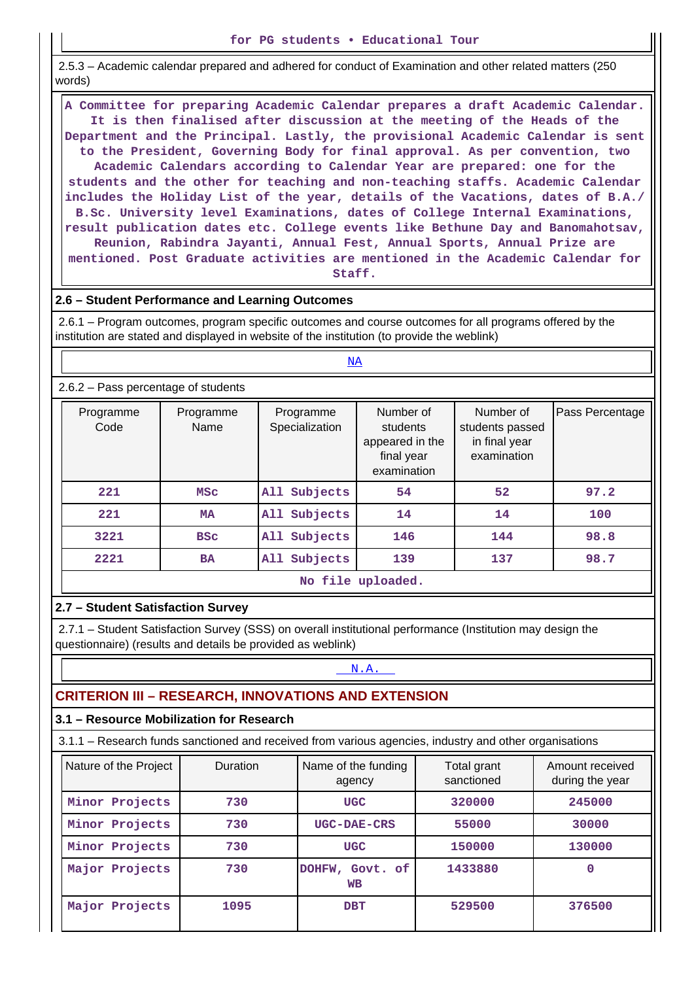2.5.3 – Academic calendar prepared and adhered for conduct of Examination and other related matters (250 words)

 **A Committee for preparing Academic Calendar prepares a draft Academic Calendar. It is then finalised after discussion at the meeting of the Heads of the Department and the Principal. Lastly, the provisional Academic Calendar is sent to the President, Governing Body for final approval. As per convention, two Academic Calendars according to Calendar Year are prepared: one for the students and the other for teaching and non-teaching staffs. Academic Calendar includes the Holiday List of the year, details of the Vacations, dates of B.A./ B.Sc. University level Examinations, dates of College Internal Examinations, result publication dates etc. College events like Bethune Day and Banomahotsav, Reunion, Rabindra Jayanti, Annual Fest, Annual Sports, Annual Prize are mentioned. Post Graduate activities are mentioned in the Academic Calendar for**

**Staff.**

### **2.6 – Student Performance and Learning Outcomes**

 2.6.1 – Program outcomes, program specific outcomes and course outcomes for all programs offered by the institution are stated and displayed in website of the institution (to provide the weblink)

|                                       |                   | $\overline{\text{NA}}$      |                                                                       |                                                              |                 |
|---------------------------------------|-------------------|-----------------------------|-----------------------------------------------------------------------|--------------------------------------------------------------|-----------------|
| $2.6.2$ – Pass percentage of students |                   |                             |                                                                       |                                                              |                 |
| Programme<br>Code                     | Programme<br>Name | Programme<br>Specialization | Number of<br>students<br>appeared in the<br>final year<br>examination | Number of<br>students passed<br>in final year<br>examination | Pass Percentage |
| 221                                   | <b>MSC</b>        | Subjects<br>All             | 54                                                                    | 52                                                           | 97.2            |
| 221                                   | <b>MA</b>         | Subjects<br>All             | 14                                                                    | 14                                                           | 100             |
| 3221                                  | <b>BSC</b>        | Subjects<br>All             | 146                                                                   | 144                                                          | 98.8            |
| 2221                                  | <b>BA</b>         | Subjects<br>All             | 139                                                                   | 137                                                          | 98.7            |
|                                       |                   |                             | No file uploaded.                                                     |                                                              |                 |

## **2.7 – Student Satisfaction Survey**

 2.7.1 – Student Satisfaction Survey (SSS) on overall institutional performance (Institution may design the questionnaire) (results and details be provided as weblink)

## <N.A.>

## **CRITERION III – RESEARCH, INNOVATIONS AND EXTENSION**

## **3.1 – Resource Mobilization for Research**

3.1.1 – Research funds sanctioned and received from various agencies, industry and other organisations

| Nature of the Project | <b>Duration</b> | Name of the funding<br>agency   | Total grant<br>sanctioned |        |
|-----------------------|-----------------|---------------------------------|---------------------------|--------|
| Minor Projects        | 730             | <b>UGC</b>                      | 320000                    | 245000 |
| Minor Projects        | 730             | UGC-DAE-CRS                     | 55000                     | 30000  |
| Minor Projects        | 730             | <b>UGC</b>                      | 150000                    | 130000 |
| Major Projects        | 730             | Govt. of<br>DOHFW,<br><b>WB</b> | 1433880                   | 0      |
| Major Projects        | 1095            | <b>DBT</b>                      | 529500                    | 376500 |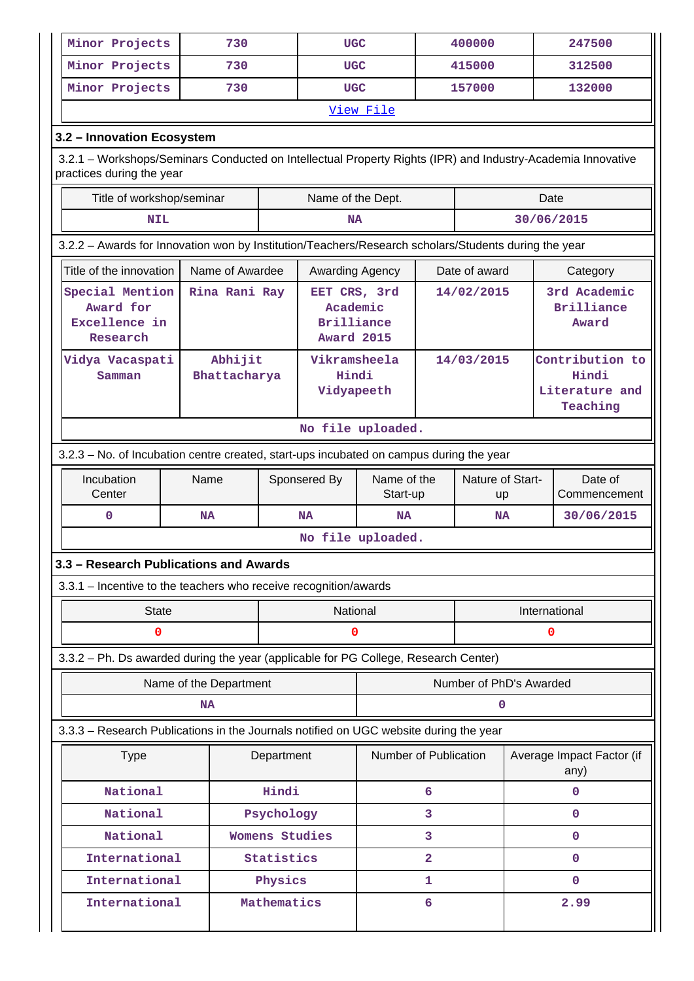| Minor Projects                                            |                                                                                            | 730                                                                                                  |                | <b>UGC</b>                                        |                       |              | 400000                                     |  | 247500                                                                                                      |
|-----------------------------------------------------------|--------------------------------------------------------------------------------------------|------------------------------------------------------------------------------------------------------|----------------|---------------------------------------------------|-----------------------|--------------|--------------------------------------------|--|-------------------------------------------------------------------------------------------------------------|
| Minor Projects                                            |                                                                                            | 730                                                                                                  |                | <b>UGC</b>                                        |                       |              | 415000                                     |  | 312500                                                                                                      |
| Minor Projects                                            |                                                                                            | 730                                                                                                  |                | <b>UGC</b>                                        |                       |              | 157000                                     |  | 132000                                                                                                      |
|                                                           |                                                                                            |                                                                                                      |                |                                                   | View File             |              |                                            |  |                                                                                                             |
| 3.2 - Innovation Ecosystem                                |                                                                                            |                                                                                                      |                |                                                   |                       |              |                                            |  |                                                                                                             |
| practices during the year                                 |                                                                                            |                                                                                                      |                |                                                   |                       |              |                                            |  | 3.2.1 - Workshops/Seminars Conducted on Intellectual Property Rights (IPR) and Industry-Academia Innovative |
|                                                           | Title of workshop/seminar                                                                  |                                                                                                      |                | Name of the Dept.                                 |                       |              |                                            |  | Date                                                                                                        |
|                                                           | <b>NIL</b>                                                                                 |                                                                                                      |                | <b>NA</b>                                         |                       |              |                                            |  | 30/06/2015                                                                                                  |
|                                                           |                                                                                            | 3.2.2 - Awards for Innovation won by Institution/Teachers/Research scholars/Students during the year |                |                                                   |                       |              |                                            |  |                                                                                                             |
| Title of the innovation                                   |                                                                                            | Name of Awardee                                                                                      |                | Awarding Agency                                   |                       |              | Date of award                              |  | Category                                                                                                    |
| Special Mention<br>Award for<br>Excellence in<br>Research | Rina Rani Ray<br>EET CRS, 3rd<br>14/02/2015<br>Academic<br>Brilliance<br><b>Award 2015</b> |                                                                                                      |                |                                                   |                       |              | 3rd Academic<br><b>Brilliance</b><br>Award |  |                                                                                                             |
| Vidya Vacaspati<br>Samman                                 |                                                                                            | Abhijit<br>Bhattacharya                                                                              |                | Vikramsheela<br>14/03/2015<br>Hindi<br>Vidyapeeth |                       |              |                                            |  | Contribution to<br>Hindi<br>Literature and<br>Teaching                                                      |
|                                                           |                                                                                            |                                                                                                      |                | No file uploaded.                                 |                       |              |                                            |  |                                                                                                             |
|                                                           |                                                                                            | 3.2.3 - No. of Incubation centre created, start-ups incubated on campus during the year              |                |                                                   |                       |              |                                            |  |                                                                                                             |
| Incubation<br>Center                                      |                                                                                            | Name                                                                                                 |                | Name of the<br>Sponsered By<br>Start-up           |                       |              | Nature of Start-<br>up                     |  | Date of<br>Commencement                                                                                     |
| 0                                                         |                                                                                            | <b>NA</b>                                                                                            |                | <b>NA</b>                                         | <b>NA</b>             |              | <b>NA</b>                                  |  | 30/06/2015                                                                                                  |
|                                                           |                                                                                            |                                                                                                      |                | No file uploaded.                                 |                       |              |                                            |  |                                                                                                             |
|                                                           |                                                                                            | 3.3 - Research Publications and Awards                                                               |                |                                                   |                       |              |                                            |  |                                                                                                             |
|                                                           |                                                                                            | 3.3.1 - Incentive to the teachers who receive recognition/awards                                     |                |                                                   |                       |              |                                            |  |                                                                                                             |
|                                                           | <b>State</b>                                                                               |                                                                                                      |                | National                                          |                       |              | International                              |  |                                                                                                             |
|                                                           | 0                                                                                          |                                                                                                      |                | 0                                                 |                       |              |                                            |  | 0                                                                                                           |
|                                                           |                                                                                            | 3.3.2 - Ph. Ds awarded during the year (applicable for PG College, Research Center)                  |                |                                                   |                       |              |                                            |  |                                                                                                             |
|                                                           |                                                                                            | Name of the Department                                                                               |                |                                                   |                       |              | Number of PhD's Awarded                    |  |                                                                                                             |
|                                                           |                                                                                            | NA                                                                                                   |                |                                                   |                       |              | 0                                          |  |                                                                                                             |
|                                                           |                                                                                            | 3.3.3 - Research Publications in the Journals notified on UGC website during the year                |                |                                                   |                       |              |                                            |  |                                                                                                             |
|                                                           | <b>Type</b>                                                                                |                                                                                                      | Department     |                                                   | Number of Publication |              |                                            |  | Average Impact Factor (if<br>any)                                                                           |
|                                                           | National                                                                                   |                                                                                                      | Hindi          |                                                   |                       | 6            |                                            |  | $\mathbf 0$                                                                                                 |
|                                                           | National                                                                                   |                                                                                                      | Psychology     |                                                   |                       | 3            |                                            |  | $\mathbf 0$                                                                                                 |
|                                                           | National                                                                                   |                                                                                                      | Womens Studies |                                                   |                       | 3            |                                            |  | $\mathbf 0$                                                                                                 |
|                                                           | International                                                                              |                                                                                                      | Statistics     |                                                   |                       | $\mathbf{2}$ |                                            |  | $\mathbf 0$                                                                                                 |
|                                                           | International                                                                              |                                                                                                      | Physics        |                                                   |                       | 1            |                                            |  | $\mathbf 0$                                                                                                 |
|                                                           | International<br>Mathematics                                                               |                                                                                                      |                |                                                   |                       | 6            |                                            |  | 2.99                                                                                                        |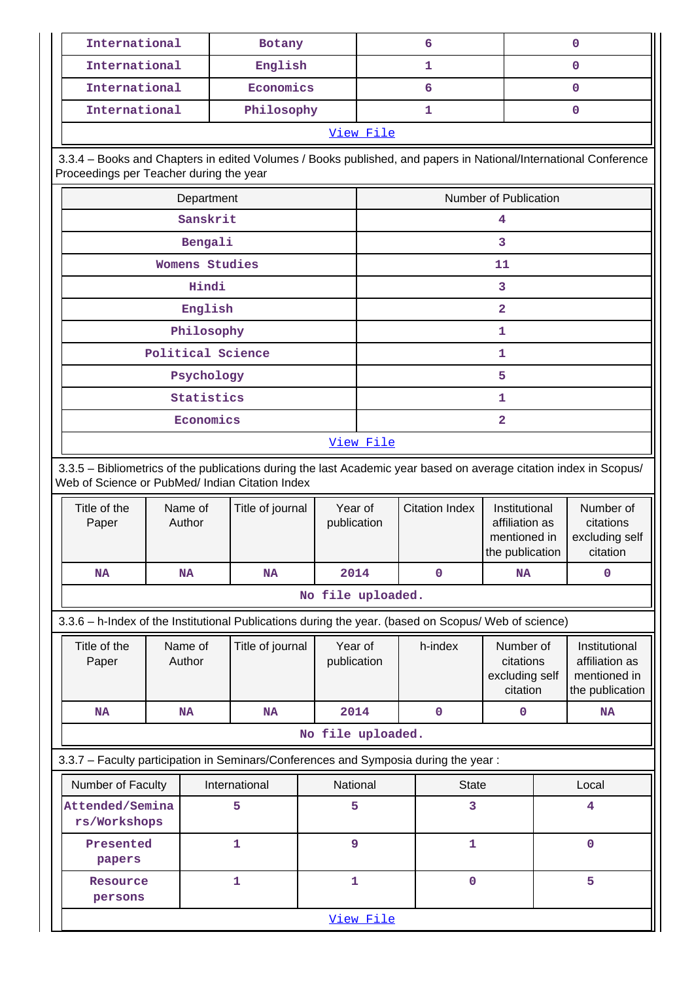| International                                                                                                                                                         |                   | Botany                                     |                        |                       | 6            |                                                                    |   | 0                                                                  |
|-----------------------------------------------------------------------------------------------------------------------------------------------------------------------|-------------------|--------------------------------------------|------------------------|-----------------------|--------------|--------------------------------------------------------------------|---|--------------------------------------------------------------------|
| International                                                                                                                                                         |                   | English                                    |                        |                       | 1            |                                                                    |   | 0                                                                  |
| International                                                                                                                                                         |                   | Economics                                  |                        |                       | 6            |                                                                    |   | 0                                                                  |
| International                                                                                                                                                         |                   | Philosophy                                 |                        |                       | 1            |                                                                    |   | 0                                                                  |
|                                                                                                                                                                       |                   |                                            |                        | View File             |              |                                                                    |   |                                                                    |
| 3.3.4 - Books and Chapters in edited Volumes / Books published, and papers in National/International Conference<br>Proceedings per Teacher during the year            |                   |                                            |                        |                       |              |                                                                    |   |                                                                    |
|                                                                                                                                                                       | Department        |                                            |                        |                       |              | Number of Publication                                              |   |                                                                    |
|                                                                                                                                                                       | Sanskrit          |                                            |                        |                       |              | 4                                                                  |   |                                                                    |
|                                                                                                                                                                       | Bengali           |                                            |                        |                       |              | 3                                                                  |   |                                                                    |
|                                                                                                                                                                       | Womens Studies    |                                            |                        |                       |              | 11                                                                 |   |                                                                    |
|                                                                                                                                                                       | Hindi             |                                            |                        |                       |              | 3                                                                  |   |                                                                    |
|                                                                                                                                                                       | English           |                                            |                        |                       |              | $\overline{\mathbf{2}}$                                            |   |                                                                    |
|                                                                                                                                                                       | Philosophy        |                                            |                        |                       |              | 1                                                                  |   |                                                                    |
|                                                                                                                                                                       | Political Science |                                            |                        |                       |              | $\mathbf 1$                                                        |   |                                                                    |
|                                                                                                                                                                       | Psychology        |                                            |                        |                       |              | 5                                                                  |   |                                                                    |
|                                                                                                                                                                       | Statistics        |                                            |                        |                       |              | 1                                                                  |   |                                                                    |
|                                                                                                                                                                       | Economics         |                                            |                        |                       |              | 2                                                                  |   |                                                                    |
|                                                                                                                                                                       |                   |                                            |                        | View File             |              |                                                                    |   |                                                                    |
| 3.3.5 - Bibliometrics of the publications during the last Academic year based on average citation index in Scopus/<br>Web of Science or PubMed/ Indian Citation Index |                   |                                            |                        |                       |              |                                                                    |   |                                                                    |
| Title of the<br>Paper                                                                                                                                                 | Name of<br>Author | Year of<br>Title of journal<br>publication |                        | <b>Citation Index</b> |              | Institutional<br>affiliation as<br>mentioned in<br>the publication |   | Number of<br>citations<br>excluding self<br>citation               |
| <b>NA</b>                                                                                                                                                             | <b>NA</b>         | <b>NA</b>                                  | 2014                   |                       | $\mathbf 0$  | <b>NA</b>                                                          |   | $\mathbf 0$                                                        |
|                                                                                                                                                                       |                   |                                            | No file uploaded.      |                       |              |                                                                    |   |                                                                    |
| 3.3.6 - h-Index of the Institutional Publications during the year. (based on Scopus/ Web of science)                                                                  |                   |                                            |                        |                       |              |                                                                    |   |                                                                    |
| Title of the<br>Paper                                                                                                                                                 | Name of<br>Author | Title of journal                           | Year of<br>publication |                       | h-index      | Number of<br>citations<br>excluding self<br>citation               |   | Institutional<br>affiliation as<br>mentioned in<br>the publication |
| <b>NA</b>                                                                                                                                                             | <b>NA</b>         | <b>NA</b>                                  | 2014                   |                       | $\mathbf 0$  | 0                                                                  |   | <b>NA</b>                                                          |
|                                                                                                                                                                       |                   |                                            | No file uploaded.      |                       |              |                                                                    |   |                                                                    |
| 3.3.7 - Faculty participation in Seminars/Conferences and Symposia during the year:                                                                                   |                   |                                            |                        |                       |              |                                                                    |   |                                                                    |
| Number of Faculty                                                                                                                                                     |                   | International                              | National               |                       | <b>State</b> |                                                                    |   | Local                                                              |
| Attended/Semina<br>rs/Workshops                                                                                                                                       |                   | 5                                          | 5                      |                       | 3            |                                                                    |   | $\overline{\mathbf{4}}$                                            |
| Presented<br>papers                                                                                                                                                   |                   | 1                                          | 9                      |                       | 1            |                                                                    |   | $\mathbf 0$                                                        |
| $\mathbf{1}$<br>Resource                                                                                                                                              |                   |                                            | $\mathbf{1}$           |                       | 0            |                                                                    | 5 |                                                                    |
| persons                                                                                                                                                               |                   |                                            |                        |                       |              |                                                                    |   |                                                                    |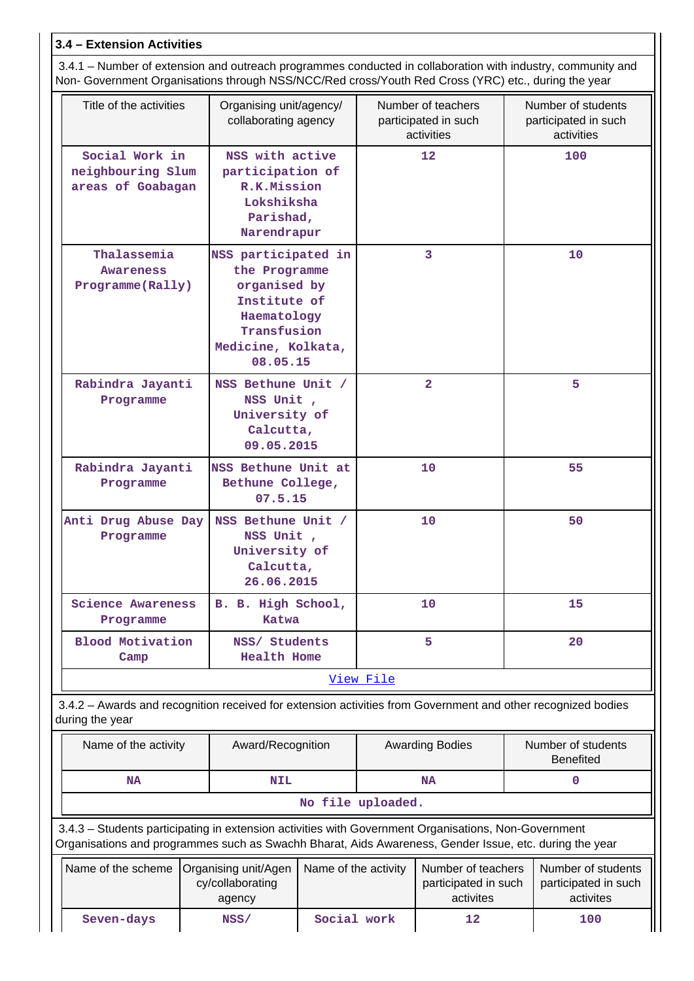## **3.4 – Extension Activities**

 3.4.1 – Number of extension and outreach programmes conducted in collaboration with industry, community and Non- Government Organisations through NSS/NCC/Red cross/Youth Red Cross (YRC) etc., during the year

| Title of the activities                                  | Organising unit/agency/<br>collaborating agency                                                                                                                                                                |                      | Number of teachers<br>participated in such<br>activities |    | Number of students<br>participated in such<br>activities |
|----------------------------------------------------------|----------------------------------------------------------------------------------------------------------------------------------------------------------------------------------------------------------------|----------------------|----------------------------------------------------------|----|----------------------------------------------------------|
| Social Work in<br>neighbouring Slum<br>areas of Goabagan | NSS with active<br>participation of<br>R.K.Mission<br>Lokshiksha<br>Parishad,<br>Narendrapur                                                                                                                   |                      | 12                                                       |    | 100                                                      |
| Thalassemia<br>Awareness<br>Programme (Rally)            | NSS participated in<br>the Programme<br>organised by<br>Institute of<br>Haematology<br>Transfusion<br>Medicine, Kolkata,<br>08.05.15                                                                           |                      | 3                                                        |    | 10                                                       |
| Rabindra Jayanti<br>Programme                            | NSS Bethune Unit /<br>NSS Unit,<br>University of<br>Calcutta,<br>09.05.2015                                                                                                                                    |                      | $\overline{2}$                                           |    | 5                                                        |
| Rabindra Jayanti<br>Programme                            | NSS Bethune Unit at<br>Bethune College,<br>07.5.15                                                                                                                                                             |                      | 10                                                       | 55 |                                                          |
| Anti Drug Abuse Day<br>Programme                         | NSS Bethune Unit /<br>NSS Unit,<br>University of<br>Calcutta,<br>26.06.2015                                                                                                                                    |                      | 10                                                       |    | 50                                                       |
| <b>Science Awareness</b><br>Programme                    | B. B. High School,<br><b>Katwa</b>                                                                                                                                                                             |                      | 10                                                       |    | 15                                                       |
| <b>Blood Motivation</b><br>Camp                          | NSS/ Students<br><b>Health Home</b>                                                                                                                                                                            |                      | 5                                                        |    | 20                                                       |
|                                                          |                                                                                                                                                                                                                | <u>View File</u>     |                                                          |    |                                                          |
| during the year                                          | 3.4.2 - Awards and recognition received for extension activities from Government and other recognized bodies                                                                                                   |                      |                                                          |    |                                                          |
| Name of the activity                                     | Award/Recognition                                                                                                                                                                                              |                      | <b>Awarding Bodies</b>                                   |    | Number of students<br><b>Benefited</b>                   |
| <b>NA</b>                                                | <b>NIL</b>                                                                                                                                                                                                     |                      | <b>NA</b>                                                |    | 0                                                        |
|                                                          |                                                                                                                                                                                                                | No file uploaded.    |                                                          |    |                                                          |
|                                                          | 3.4.3 - Students participating in extension activities with Government Organisations, Non-Government<br>Organisations and programmes such as Swachh Bharat, Aids Awareness, Gender Issue, etc. during the year |                      |                                                          |    |                                                          |
| Name of the scheme                                       | Organising unit/Agen<br>cy/collaborating<br>anency                                                                                                                                                             | Name of the activity | Number of teachers<br>participated in such<br>activites  |    | Number of students<br>participated in such<br>activites  |

agency activites activites **Seven-days NSS/ Social work 12 100**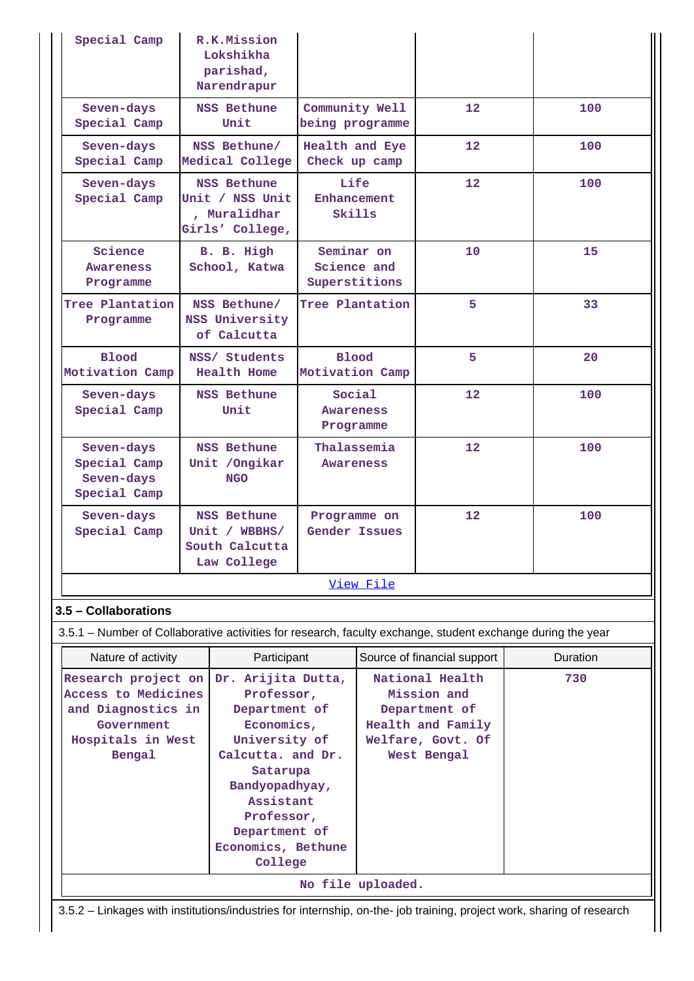| Special Camp                                                                                                | R.K.Mission                 |                      |             |                             |          |
|-------------------------------------------------------------------------------------------------------------|-----------------------------|----------------------|-------------|-----------------------------|----------|
|                                                                                                             | Lokshikha                   |                      |             |                             |          |
|                                                                                                             | parishad,                   |                      |             |                             |          |
|                                                                                                             | Narendrapur                 |                      |             |                             |          |
| Seven-days                                                                                                  | <b>NSS Bethune</b>          | Community Well       |             | 12 <sub>1</sub>             | 100      |
| Special Camp                                                                                                | Unit                        | being programme      |             |                             |          |
| Seven-days                                                                                                  | NSS Bethune/                | Health and Eye       |             | 12                          | 100      |
| Special Camp                                                                                                | Medical College             | Check up camp        |             |                             |          |
| Seven-days                                                                                                  | <b>NSS Bethune</b>          | Life                 |             | 12 <sub>1</sub>             | 100      |
| Special Camp                                                                                                | Unit / NSS Unit             | Enhancement          |             |                             |          |
|                                                                                                             | , Muralidhar                | Skills               |             |                             |          |
|                                                                                                             | Girls' College,             |                      |             |                             |          |
| Science                                                                                                     |                             |                      | Seminar on  | 10                          | 15       |
| <b>Awareness</b>                                                                                            | B. B. High<br>School, Katwa |                      | Science and |                             |          |
| Programme                                                                                                   |                             | Superstitions        |             |                             |          |
|                                                                                                             |                             |                      |             |                             |          |
| Tree Plantation                                                                                             | NSS Bethune/                | Tree Plantation      |             | 5                           | 33       |
| Programme                                                                                                   | NSS University              |                      |             |                             |          |
|                                                                                                             | of Calcutta                 |                      |             |                             |          |
| <b>Blood</b>                                                                                                | NSS/ Students               | <b>Blood</b>         |             | 5                           | 20       |
| Motivation Camp                                                                                             | <b>Health Home</b>          | Motivation Camp      |             |                             |          |
| Seven-days                                                                                                  | <b>NSS Bethune</b>          | Social               |             | 12 <sub>1</sub>             | 100      |
| Special Camp                                                                                                | Unit                        | <b>Awareness</b>     |             |                             |          |
|                                                                                                             |                             | Programme            |             |                             |          |
| Seven-days                                                                                                  | <b>NSS Bethune</b>          |                      | Thalassemia | 12                          | 100      |
| Special Camp                                                                                                | Unit / Ongikar              | <b>Awareness</b>     |             |                             |          |
| Seven-days                                                                                                  | <b>NGO</b>                  |                      |             |                             |          |
| Special Camp                                                                                                |                             |                      |             |                             |          |
| Seven-days                                                                                                  | <b>NSS Bethune</b>          | Programme on         |             | 12                          | 100      |
| Special Camp                                                                                                | Unit / $WBBHS/$             | <b>Gender Issues</b> |             |                             |          |
|                                                                                                             | South Calcutta              |                      |             |                             |          |
|                                                                                                             | Law College                 |                      |             |                             |          |
|                                                                                                             |                             |                      | View File   |                             |          |
|                                                                                                             |                             |                      |             |                             |          |
| 3.5 - Collaborations                                                                                        |                             |                      |             |                             |          |
| 3.5.1 – Number of Collaborative activities for research, faculty exchange, student exchange during the year |                             |                      |             |                             |          |
| Nature of activity                                                                                          | Participant                 |                      |             | Source of financial support | Duration |
| Research project on                                                                                         | Dr. Arijita Dutta,          |                      |             | National Health             | 730      |
| Access to Medicines                                                                                         | Professor,                  |                      |             | Mission and                 |          |
| and Diagnostics in                                                                                          | Department of               |                      |             | Department of               |          |
| Government                                                                                                  | Economics,                  |                      |             | Health and Family           |          |
| Hospitals in West                                                                                           | University of               |                      |             | Welfare, Govt. Of           |          |
| Bengal                                                                                                      | Calcutta. and Dr.           |                      |             | West Bengal                 |          |
|                                                                                                             | Satarupa                    |                      |             |                             |          |
|                                                                                                             | Bandyopadhyay,<br>Assistant |                      |             |                             |          |
|                                                                                                             | Professor,                  |                      |             |                             |          |
|                                                                                                             |                             |                      |             |                             |          |

**No file uploaded.**

3.5.2 – Linkages with institutions/industries for internship, on-the- job training, project work, sharing of research

**Economics, Bethune College**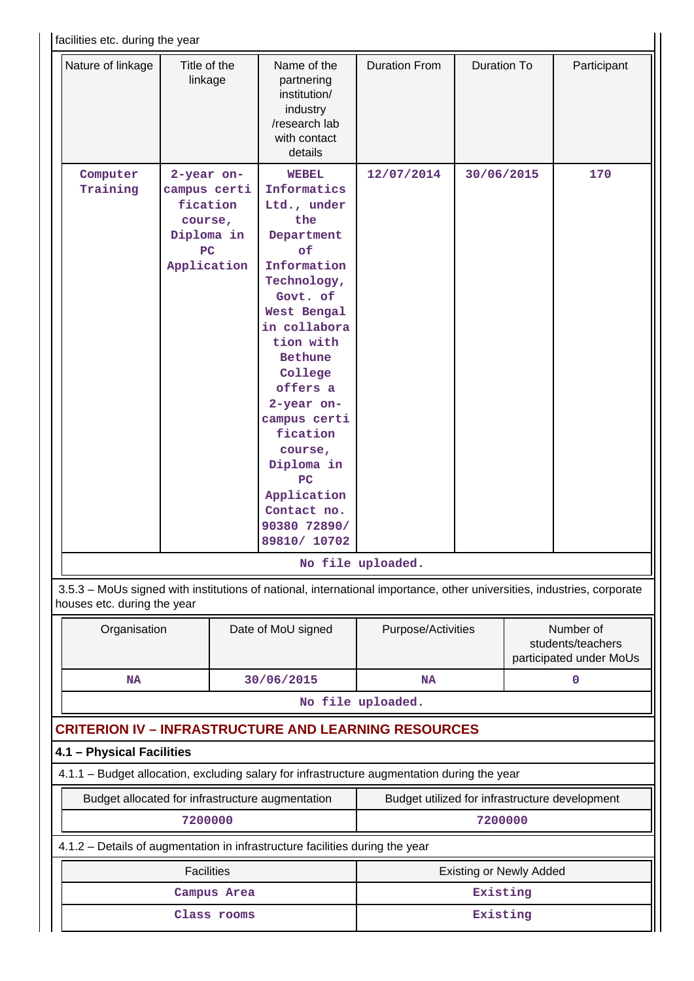| Nature of linkage           | Title of the<br>linkage | Name of the<br>partnering                                                                                              | <b>Duration From</b> | <b>Duration To</b> |                                              | Participant |
|-----------------------------|-------------------------|------------------------------------------------------------------------------------------------------------------------|----------------------|--------------------|----------------------------------------------|-------------|
|                             |                         | institution/                                                                                                           |                      |                    |                                              |             |
|                             |                         | industry<br>/research lab                                                                                              |                      |                    |                                              |             |
|                             |                         | with contact                                                                                                           |                      |                    |                                              |             |
|                             |                         | details                                                                                                                |                      |                    |                                              |             |
| Computer                    | 2-year on-              | <b>WEBEL</b>                                                                                                           | 12/07/2014           | 30/06/2015         |                                              | 170         |
| Training                    | campus certi            | Informatics                                                                                                            |                      |                    |                                              |             |
|                             | fication                | Ltd., under<br>the                                                                                                     |                      |                    |                                              |             |
|                             | course,                 |                                                                                                                        |                      |                    |                                              |             |
|                             | Diploma in<br>PC        | Department<br>of                                                                                                       |                      |                    |                                              |             |
|                             | Application             | Information                                                                                                            |                      |                    |                                              |             |
|                             |                         | Technology,                                                                                                            |                      |                    |                                              |             |
|                             |                         | Govt. of                                                                                                               |                      |                    |                                              |             |
|                             |                         | West Bengal                                                                                                            |                      |                    |                                              |             |
|                             |                         | in collabora                                                                                                           |                      |                    |                                              |             |
|                             |                         | tion with                                                                                                              |                      |                    |                                              |             |
|                             |                         | <b>Bethune</b>                                                                                                         |                      |                    |                                              |             |
|                             |                         | College                                                                                                                |                      |                    |                                              |             |
|                             |                         | offers a                                                                                                               |                      |                    |                                              |             |
|                             |                         | 2-year on-<br>campus certi                                                                                             |                      |                    |                                              |             |
|                             |                         | fication                                                                                                               |                      |                    |                                              |             |
|                             |                         | course,                                                                                                                |                      |                    |                                              |             |
|                             |                         | Diploma in                                                                                                             |                      |                    |                                              |             |
|                             |                         | PC                                                                                                                     |                      |                    |                                              |             |
|                             |                         | Application                                                                                                            |                      |                    |                                              |             |
|                             |                         | Contact no.                                                                                                            |                      |                    |                                              |             |
|                             |                         | 90380 72890/                                                                                                           |                      |                    |                                              |             |
|                             |                         | 89810/ 10702                                                                                                           |                      |                    |                                              |             |
|                             |                         |                                                                                                                        | No file uploaded.    |                    |                                              |             |
| houses etc. during the year |                         | 3.5.3 - MoUs signed with institutions of national, international importance, other universities, industries, corporate |                      |                    |                                              |             |
| Organisation                |                         | Date of MoU signed                                                                                                     | Purpose/Activities   |                    |                                              | Number of   |
|                             |                         |                                                                                                                        |                      |                    | students/teachers<br>participated under MoUs |             |
|                             |                         |                                                                                                                        |                      |                    |                                              |             |

**No file uploaded.**

# **CRITERION IV – INFRASTRUCTURE AND LEARNING RESOURCES**

**4.1 – Physical Facilities**

4.1.1 – Budget allocation, excluding salary for infrastructure augmentation during the year

Budget allocated for infrastructure augmentation | Budget utilized for infrastructure development **7200000 7200000**

4.1.2 – Details of augmentation in infrastructure facilities during the year

| Facilities  | <b>Existing or Newly Added</b> |  |  |  |  |
|-------------|--------------------------------|--|--|--|--|
| Campus Area | Existing                       |  |  |  |  |
| Class rooms | Existing                       |  |  |  |  |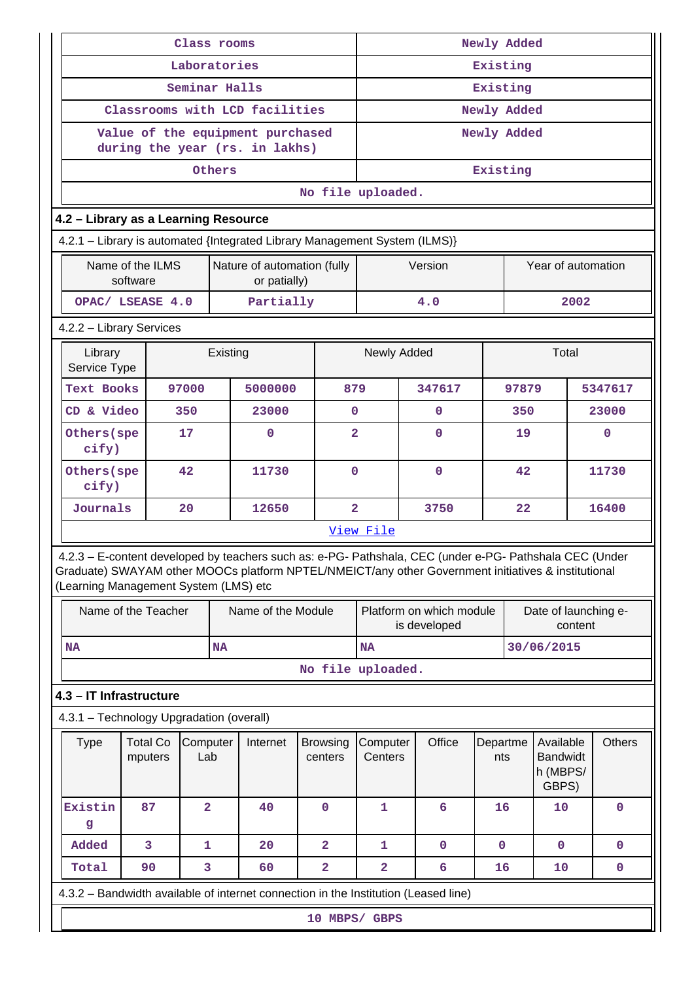| Class rooms                                                                                                                                                                                                                                             |                              |                 |           | Newly Added                                                        |          |                            |                                                                             |   |             |                 |             |                                                   |      |               |
|---------------------------------------------------------------------------------------------------------------------------------------------------------------------------------------------------------------------------------------------------------|------------------------------|-----------------|-----------|--------------------------------------------------------------------|----------|----------------------------|-----------------------------------------------------------------------------|---|-------------|-----------------|-------------|---------------------------------------------------|------|---------------|
| Laboratories                                                                                                                                                                                                                                            |                              |                 |           | Existing                                                           |          |                            |                                                                             |   |             |                 |             |                                                   |      |               |
|                                                                                                                                                                                                                                                         | Seminar Halls                |                 |           |                                                                    | Existing |                            |                                                                             |   |             |                 |             |                                                   |      |               |
|                                                                                                                                                                                                                                                         |                              |                 |           | Classrooms with LCD facilities                                     |          |                            |                                                                             |   |             |                 | Newly Added |                                                   |      |               |
|                                                                                                                                                                                                                                                         |                              |                 |           | Value of the equipment purchased<br>during the year (rs. in lakhs) |          |                            |                                                                             |   |             |                 | Newly Added |                                                   |      |               |
|                                                                                                                                                                                                                                                         |                              |                 | Others    |                                                                    |          |                            |                                                                             |   |             |                 | Existing    |                                                   |      |               |
|                                                                                                                                                                                                                                                         |                              |                 |           |                                                                    |          |                            | No file uploaded.                                                           |   |             |                 |             |                                                   |      |               |
| 4.2 - Library as a Learning Resource                                                                                                                                                                                                                    |                              |                 |           |                                                                    |          |                            |                                                                             |   |             |                 |             |                                                   |      |               |
| 4.2.1 - Library is automated {Integrated Library Management System (ILMS)}                                                                                                                                                                              |                              |                 |           |                                                                    |          |                            |                                                                             |   |             |                 |             |                                                   |      |               |
|                                                                                                                                                                                                                                                         | Name of the ILMS<br>software |                 |           | Nature of automation (fully<br>or patially)                        |          |                            |                                                                             |   | Version     |                 |             | Year of automation                                |      |               |
|                                                                                                                                                                                                                                                         | OPAC/ LSEASE 4.0             |                 |           | Partially                                                          |          |                            |                                                                             |   | 4.0         |                 |             |                                                   | 2002 |               |
| 4.2.2 - Library Services                                                                                                                                                                                                                                |                              |                 |           |                                                                    |          |                            |                                                                             |   |             |                 |             |                                                   |      |               |
| Library<br>Service Type                                                                                                                                                                                                                                 |                              |                 | Existing  |                                                                    |          |                            | Newly Added                                                                 |   |             |                 |             | Total                                             |      |               |
| Text Books                                                                                                                                                                                                                                              |                              | 97000           |           | 5000000                                                            |          | 879                        |                                                                             |   | 347617      |                 | 97879       |                                                   |      | 5347617       |
| CD & Video                                                                                                                                                                                                                                              |                              | 350             |           | 23000                                                              |          | $\mathbf{0}$               |                                                                             |   | $\mathbf 0$ |                 | 350         |                                                   |      | 23000         |
| Others (spe<br>cify)                                                                                                                                                                                                                                    |                              | 17              |           | $\mathbf 0$                                                        |          | $\overline{2}$             |                                                                             |   | 0           |                 | 19          |                                                   |      | 0             |
| Others (spe<br>cify)                                                                                                                                                                                                                                    |                              | 42              |           | 11730                                                              |          | $\mathbf{O}$               |                                                                             | 0 |             |                 | 42          |                                                   |      | 11730         |
| Journals                                                                                                                                                                                                                                                |                              | 20              |           | 12650                                                              |          | $\overline{2}$             |                                                                             |   | 3750        |                 | 22          |                                                   |      | 16400         |
|                                                                                                                                                                                                                                                         |                              |                 |           |                                                                    |          |                            | View File                                                                   |   |             |                 |             |                                                   |      |               |
| 4.2.3 - E-content developed by teachers such as: e-PG- Pathshala, CEC (under e-PG- Pathshala CEC (Under<br>Graduate) SWAYAM other MOOCs platform NPTEL/NMEICT/any other Government initiatives & institutional<br>(Learning Management System (LMS) etc |                              |                 |           |                                                                    |          |                            |                                                                             |   |             |                 |             |                                                   |      |               |
|                                                                                                                                                                                                                                                         | Name of the Teacher          |                 |           | Name of the Module                                                 |          |                            | Platform on which module<br>Date of launching e-<br>is developed<br>content |   |             |                 |             |                                                   |      |               |
| <b>NA</b>                                                                                                                                                                                                                                               |                              |                 | <b>NA</b> |                                                                    |          |                            | 30/06/2015<br><b>NA</b>                                                     |   |             |                 |             |                                                   |      |               |
|                                                                                                                                                                                                                                                         |                              |                 |           |                                                                    |          |                            | No file uploaded.                                                           |   |             |                 |             |                                                   |      |               |
| 4.3 - IT Infrastructure                                                                                                                                                                                                                                 |                              |                 |           |                                                                    |          |                            |                                                                             |   |             |                 |             |                                                   |      |               |
| 4.3.1 - Technology Upgradation (overall)                                                                                                                                                                                                                |                              |                 |           |                                                                    |          |                            |                                                                             |   |             |                 |             |                                                   |      |               |
| <b>Type</b>                                                                                                                                                                                                                                             | <b>Total Co</b><br>mputers   | Computer<br>Lab |           | Internet                                                           |          | <b>Browsing</b><br>centers | Computer<br>Centers                                                         |   | Office      | Departme<br>nts |             | Available<br><b>Bandwidt</b><br>h (MBPS/<br>GBPS) |      | <b>Others</b> |
| Existin<br>g                                                                                                                                                                                                                                            | 87                           | $\overline{a}$  |           | 40                                                                 |          | $\mathbf 0$                | $\mathbf{1}$                                                                |   | 6           | 16              |             | 10                                                |      | $\mathbf 0$   |
| Added                                                                                                                                                                                                                                                   | 3                            | $\mathbf{1}$    |           | 20                                                                 |          | $\overline{a}$             | $\mathbf 1$                                                                 |   | $\mathbf 0$ | $\mathbf 0$     |             | $\mathbf 0$                                       |      | $\mathbf 0$   |
| Total                                                                                                                                                                                                                                                   | 90                           | 3               |           | 60                                                                 |          | $\mathbf{2}$               | $\overline{a}$                                                              |   | 6           | 16              |             | 10                                                |      | $\mathbf 0$   |
| 4.3.2 – Bandwidth available of internet connection in the Institution (Leased line)                                                                                                                                                                     |                              |                 |           |                                                                    |          |                            |                                                                             |   |             |                 |             |                                                   |      |               |
|                                                                                                                                                                                                                                                         | 10 MBPS/ GBPS                |                 |           |                                                                    |          |                            |                                                                             |   |             |                 |             |                                                   |      |               |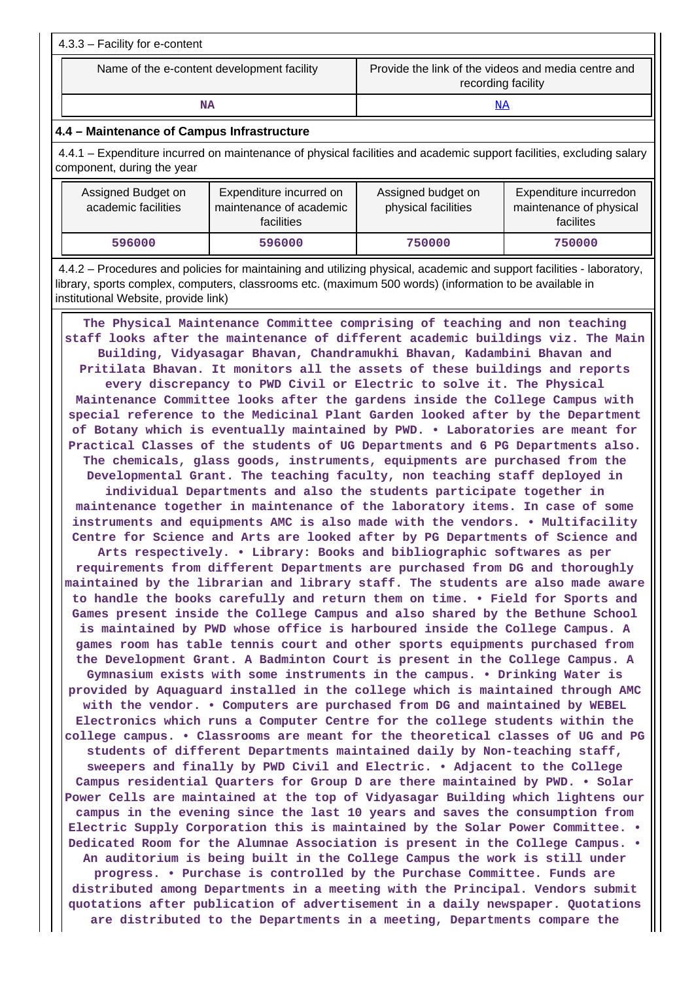| 4.3.3 - Facility for e-content             |                                                                           |  |  |  |  |
|--------------------------------------------|---------------------------------------------------------------------------|--|--|--|--|
| Name of the e-content development facility | Provide the link of the videos and media centre and<br>recording facility |  |  |  |  |

**NA** <NA>

#### **4.4 – Maintenance of Campus Infrastructure**

 4.4.1 – Expenditure incurred on maintenance of physical facilities and academic support facilities, excluding salary component, during the year

| Assigned Budget on<br>academic facilities | Expenditure incurred on<br>maintenance of academic<br>facilities | Assigned budget on<br>physical facilities | Expenditure incurredon<br>maintenance of physical<br>facilites |  |
|-------------------------------------------|------------------------------------------------------------------|-------------------------------------------|----------------------------------------------------------------|--|
| 596000                                    | 596000                                                           | 750000                                    | 750000                                                         |  |

 4.4.2 – Procedures and policies for maintaining and utilizing physical, academic and support facilities - laboratory, library, sports complex, computers, classrooms etc. (maximum 500 words) (information to be available in institutional Website, provide link)

 **The Physical Maintenance Committee comprising of teaching and non teaching staff looks after the maintenance of different academic buildings viz. The Main Building, Vidyasagar Bhavan, Chandramukhi Bhavan, Kadambini Bhavan and Pritilata Bhavan. It monitors all the assets of these buildings and reports every discrepancy to PWD Civil or Electric to solve it. The Physical Maintenance Committee looks after the gardens inside the College Campus with special reference to the Medicinal Plant Garden looked after by the Department of Botany which is eventually maintained by PWD. • Laboratories are meant for Practical Classes of the students of UG Departments and 6 PG Departments also. The chemicals, glass goods, instruments, equipments are purchased from the Developmental Grant. The teaching faculty, non teaching staff deployed in**

**individual Departments and also the students participate together in maintenance together in maintenance of the laboratory items. In case of some instruments and equipments AMC is also made with the vendors. • Multifacility Centre for Science and Arts are looked after by PG Departments of Science and**

**Arts respectively. • Library: Books and bibliographic softwares as per requirements from different Departments are purchased from DG and thoroughly maintained by the librarian and library staff. The students are also made aware to handle the books carefully and return them on time. • Field for Sports and Games present inside the College Campus and also shared by the Bethune School is maintained by PWD whose office is harboured inside the College Campus. A games room has table tennis court and other sports equipments purchased from the Development Grant. A Badminton Court is present in the College Campus. A Gymnasium exists with some instruments in the campus. • Drinking Water is provided by Aquaguard installed in the college which is maintained through AMC with the vendor. • Computers are purchased from DG and maintained by WEBEL Electronics which runs a Computer Centre for the college students within the college campus. • Classrooms are meant for the theoretical classes of UG and PG students of different Departments maintained daily by Non-teaching staff, sweepers and finally by PWD Civil and Electric. • Adjacent to the College Campus residential Quarters for Group D are there maintained by PWD. • Solar Power Cells are maintained at the top of Vidyasagar Building which lightens our campus in the evening since the last 10 years and saves the consumption from Electric Supply Corporation this is maintained by the Solar Power Committee. • Dedicated Room for the Alumnae Association is present in the College Campus. • An auditorium is being built in the College Campus the work is still under progress. • Purchase is controlled by the Purchase Committee. Funds are distributed among Departments in a meeting with the Principal. Vendors submit quotations after publication of advertisement in a daily newspaper. Quotations**

**are distributed to the Departments in a meeting, Departments compare the**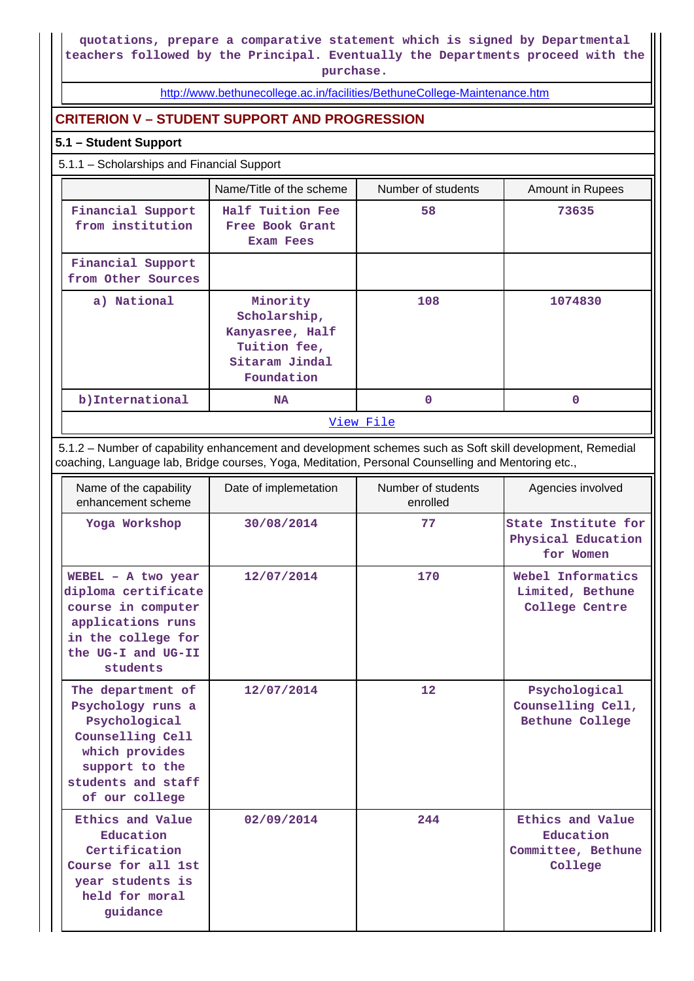**quotations, prepare a comparative statement which is signed by Departmental teachers followed by the Principal. Eventually the Departments proceed with the purchase.**

<http://www.bethunecollege.ac.in/facilities/BethuneCollege-Maintenance.htm>

## **CRITERION V – STUDENT SUPPORT AND PROGRESSION**

## **5.1 – Student Support**

5.1.1 – Scholarships and Financial Support

|                                         | Name/Title of the scheme                                                                    | Number of students | Amount in Rupees |
|-----------------------------------------|---------------------------------------------------------------------------------------------|--------------------|------------------|
| Financial Support<br>from institution   | Half Tuition Fee<br>Free Book Grant<br><b>Exam Fees</b>                                     | 58                 | 73635            |
| Financial Support<br>from Other Sources |                                                                                             |                    |                  |
| a) National                             | Minority<br>Scholarship,<br>Kanyasree, Half<br>Tuition fee,<br>Sitaram Jindal<br>Foundation | 108                | 1074830          |
| b) International                        | <b>NA</b>                                                                                   | 0                  | 0                |
|                                         |                                                                                             | View File          |                  |

 5.1.2 – Number of capability enhancement and development schemes such as Soft skill development, Remedial coaching, Language lab, Bridge courses, Yoga, Meditation, Personal Counselling and Mentoring etc.,

| Name of the capability<br>enhancement scheme                                                                                                            | Date of implemetation | Number of students<br>enrolled | Agencies involved                                              |
|---------------------------------------------------------------------------------------------------------------------------------------------------------|-----------------------|--------------------------------|----------------------------------------------------------------|
| Yoga Workshop                                                                                                                                           | 30/08/2014            | 77                             | State Institute for<br>Physical Education<br>for Women         |
| $WEBEL - A two year$<br>diploma certificate<br>course in computer<br>applications runs<br>in the college for<br>the UG-I and UG-II<br>students          | 12/07/2014            | 170                            | Webel Informatics<br>Limited, Bethune<br>College Centre        |
| The department of<br>Psychology runs a<br>Psychological<br>Counselling Cell<br>which provides<br>support to the<br>students and staff<br>of our college | 12/07/2014            | 12                             | Psychological<br>Counselling Cell,<br>Bethune College          |
| Ethics and Value<br>Education<br>Certification<br>Course for all 1st<br>year students is<br>held for moral<br>guidance                                  | 02/09/2014            | 244                            | Ethics and Value<br>Education<br>Committee, Bethune<br>College |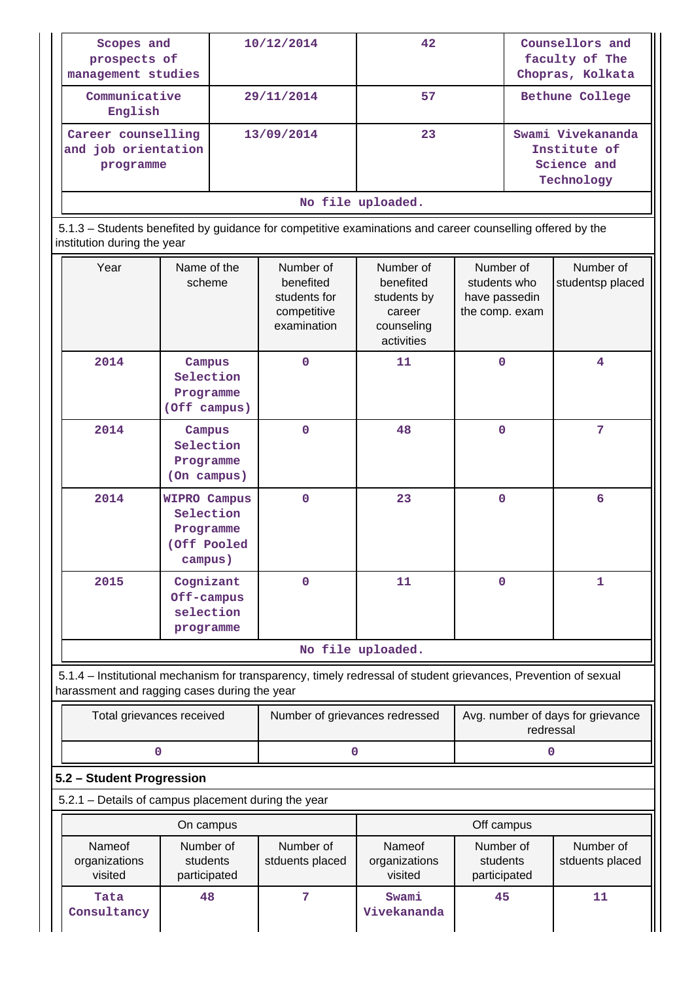| Scopes and<br>prospects of<br>management studies                                 |                                                                                                                                | 10/12/2014                                                                                                     | 42                                                                          |                                                              | Counsellors and<br>faculty of The<br>Chopras, Kolkata          |  |  |
|----------------------------------------------------------------------------------|--------------------------------------------------------------------------------------------------------------------------------|----------------------------------------------------------------------------------------------------------------|-----------------------------------------------------------------------------|--------------------------------------------------------------|----------------------------------------------------------------|--|--|
| Communicative<br>English                                                         |                                                                                                                                | 29/11/2014                                                                                                     | 57                                                                          |                                                              | Bethune College                                                |  |  |
| Career counselling<br>and job orientation<br>programme                           |                                                                                                                                | 13/09/2014                                                                                                     | 23                                                                          |                                                              | Swami Vivekananda<br>Institute of<br>Science and<br>Technology |  |  |
| institution during the year                                                      | No file uploaded.<br>5.1.3 - Students benefited by guidance for competitive examinations and career counselling offered by the |                                                                                                                |                                                                             |                                                              |                                                                |  |  |
| Year                                                                             | Name of the<br>scheme                                                                                                          | Number of<br>benefited<br>students for<br>competitive<br>examination                                           | Number of<br>benefited<br>students by<br>career<br>counseling<br>activities | Number of<br>students who<br>have passedin<br>the comp. exam | Number of<br>studentsp placed                                  |  |  |
| 2014                                                                             | Campus<br>Selection<br>Programme<br>(Off campus)                                                                               | $\mathbf{0}$                                                                                                   | 11                                                                          | 0                                                            | 4                                                              |  |  |
| 2014                                                                             | Campus<br>Selection<br>Programme<br>(On campus)                                                                                | $\mathbf{0}$                                                                                                   | 48                                                                          | $\mathbf{0}$                                                 | 7                                                              |  |  |
| 2014                                                                             | <b>WIPRO Campus</b><br>Selection<br>Programme<br>(Off Pooled<br>campus)                                                        | $\mathbf{0}$                                                                                                   | 23                                                                          | $\mathbf{O}$                                                 | 6                                                              |  |  |
| 2015                                                                             | Cognizant<br>Off-campus<br>selection<br>programme                                                                              | $\mathbf 0$                                                                                                    | 11<br>0                                                                     |                                                              | 1                                                              |  |  |
|                                                                                  |                                                                                                                                |                                                                                                                | No file uploaded.                                                           |                                                              |                                                                |  |  |
| harassment and ragging cases during the year                                     |                                                                                                                                | 5.1.4 – Institutional mechanism for transparency, timely redressal of student grievances, Prevention of sexual |                                                                             |                                                              |                                                                |  |  |
|                                                                                  | Total grievances received                                                                                                      | Number of grievances redressed                                                                                 |                                                                             | Avg. number of days for grievance<br>redressal               |                                                                |  |  |
|                                                                                  | 0                                                                                                                              | 0                                                                                                              |                                                                             |                                                              | 0                                                              |  |  |
| 5.2 - Student Progression<br>5.2.1 - Details of campus placement during the year |                                                                                                                                |                                                                                                                |                                                                             |                                                              |                                                                |  |  |
|                                                                                  | On campus                                                                                                                      |                                                                                                                |                                                                             | Off campus                                                   |                                                                |  |  |
| Nameof<br>organizations<br>visited                                               | Number of<br>students<br>participated                                                                                          | Number of<br>stduents placed                                                                                   | Nameof<br>organizations<br>visited                                          | Number of<br>students<br>participated                        | Number of<br>stduents placed                                   |  |  |
| Tata<br>Consultancy                                                              | 48                                                                                                                             | 7                                                                                                              | Swami<br>Vivekananda                                                        | 45                                                           | 11                                                             |  |  |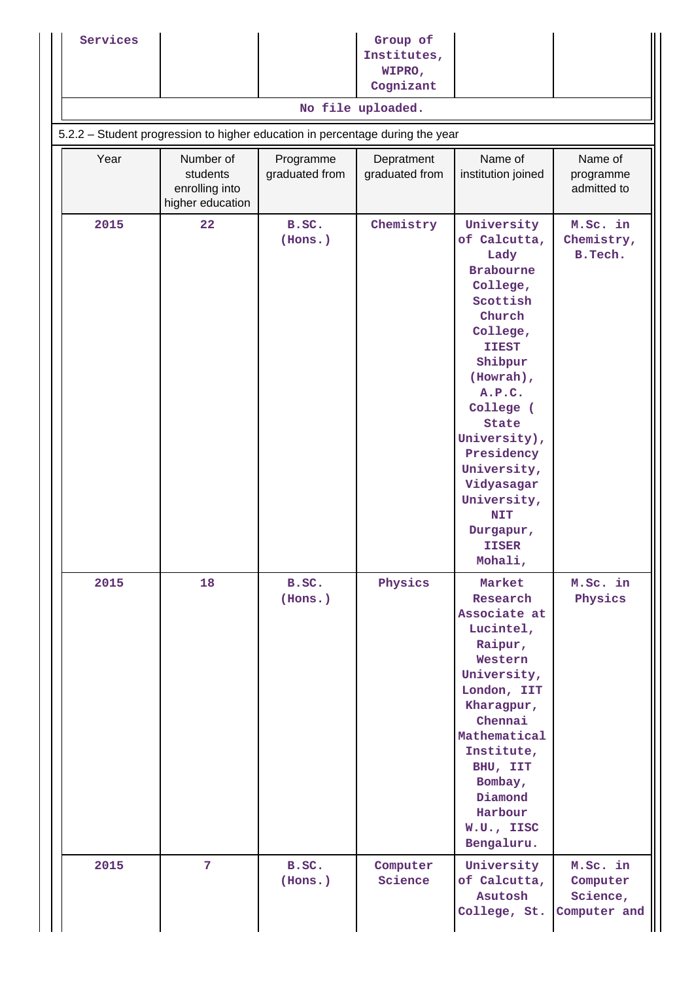| Services |                                                                                                    |                             | Group of<br>Institutes,<br>WIPRO,<br>Cognizant |                                                                                                                                                                                                                                                                                                                     |                                                  |  |  |
|----------|----------------------------------------------------------------------------------------------------|-----------------------------|------------------------------------------------|---------------------------------------------------------------------------------------------------------------------------------------------------------------------------------------------------------------------------------------------------------------------------------------------------------------------|--------------------------------------------------|--|--|
|          | No file uploaded.<br>5.2.2 - Student progression to higher education in percentage during the year |                             |                                                |                                                                                                                                                                                                                                                                                                                     |                                                  |  |  |
| Year     | Number of<br>students<br>enrolling into<br>higher education                                        | Programme<br>graduated from | Depratment<br>graduated from                   | Name of<br>institution joined                                                                                                                                                                                                                                                                                       | Name of<br>programme<br>admitted to              |  |  |
| 2015     | 22                                                                                                 | B.SC.<br>(Hons.)            | Chemistry                                      | University<br>of Calcutta,<br>Lady<br><b>Brabourne</b><br>College,<br>Scottish<br>Church<br>College,<br><b>IIEST</b><br>Shibpur<br>(Howrah),<br>A.P.C.<br>College (<br><b>State</b><br>University),<br>Presidency<br>University,<br>Vidyasagar<br>University,<br><b>NIT</b><br>Durgapur,<br><b>IISER</b><br>Mohali, | M.Sc. in<br>Chemistry,<br>B. Tech.               |  |  |
| 2015     | 18                                                                                                 | B.SC.<br>(Hons.)            | Physics                                        | Market<br>Research<br>Associate at<br>Lucintel,<br>Raipur,<br>Western<br>University,<br>London, IIT<br>Kharagpur,<br>Chennai<br>Mathematical<br>Institute,<br>BHU, IIT<br>Bombay,<br>Diamond<br>Harbour<br>W.U., IISC<br>Bengaluru.                                                                                 | M.Sc. in<br>Physics                              |  |  |
| 2015     | 7 <sup>1</sup>                                                                                     | B.SC.<br>(Hons.)            | Computer<br>Science                            | University<br>of Calcutta,<br>Asutosh<br>College, St.                                                                                                                                                                                                                                                               | M.Sc. in<br>Computer<br>Science,<br>Computer and |  |  |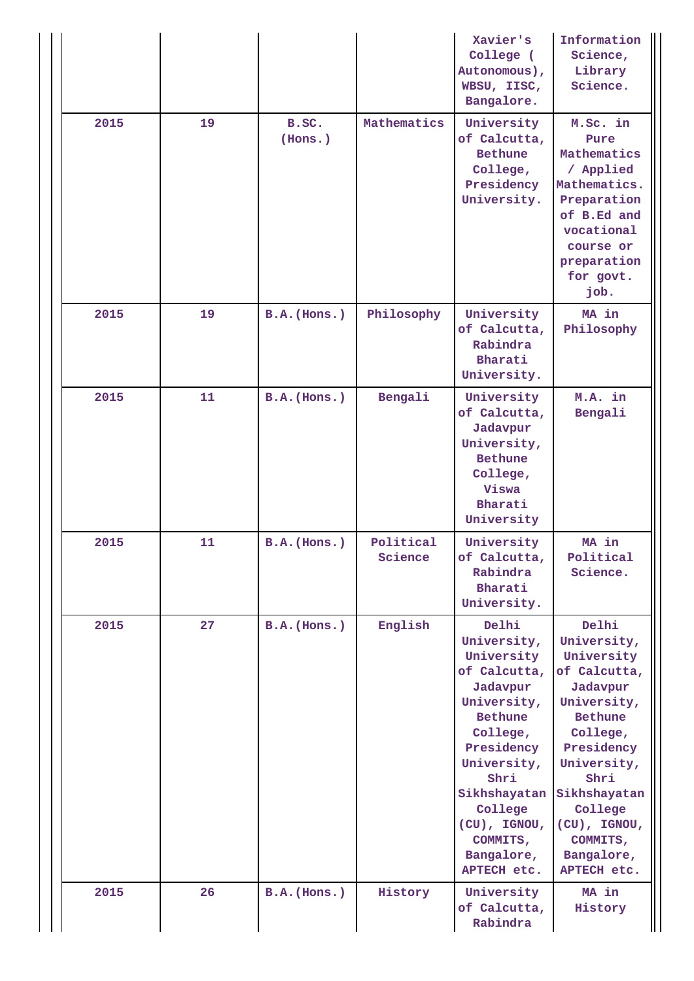|      |    |                  |                      | Xavier's<br>College (<br>Autonomous),<br>WBSU, IISC,<br>Bangalore.                                                                                                                                                            | Information<br>Science,<br>Library<br>Science.                                                                                                                                                                                       |
|------|----|------------------|----------------------|-------------------------------------------------------------------------------------------------------------------------------------------------------------------------------------------------------------------------------|--------------------------------------------------------------------------------------------------------------------------------------------------------------------------------------------------------------------------------------|
| 2015 | 19 | B.SC.<br>(Hons.) | Mathematics          | University<br>of Calcutta,<br><b>Bethune</b><br>College,<br>Presidency<br>University.                                                                                                                                         | M.Sc. in<br>Pure<br>Mathematics<br>/ Applied<br>Mathematics.<br>Preparation<br>of B.Ed and<br>vocational<br>course or<br>preparation<br>for govt.<br>job.                                                                            |
| 2015 | 19 | $B.A.$ (Hons.)   | Philosophy           | University<br>of Calcutta,<br>Rabindra<br>Bharati<br>University.                                                                                                                                                              | MA in<br>Philosophy                                                                                                                                                                                                                  |
| 2015 | 11 | $B.A.$ (Hons.)   | Bengali              | University<br>of Calcutta,<br>Jadavpur<br>University,<br><b>Bethune</b><br>College,<br>Viswa<br>Bharati<br>University                                                                                                         | M.A. in<br>Bengali                                                                                                                                                                                                                   |
| 2015 | 11 | $B.A.$ (Hons.)   | Political<br>Science | University<br>of Calcutta,<br>Rabindra<br>Bharati<br>University.                                                                                                                                                              | MA in<br>Political<br>Science.                                                                                                                                                                                                       |
| 2015 | 27 | $B.A.$ (Hons.)   | English              | Delhi<br>University,<br>University<br>of Calcutta,<br>Jadavpur<br>University,<br>Bethune<br>College,<br>Presidency<br>University,<br>Shri<br>Sikhshayatan<br>College<br>(CU), IGNOU,<br>COMMITS,<br>Bangalore,<br>APTECH etc. | Delhi<br>University,<br>University<br>of Calcutta,<br>Jadavpur<br>University,<br><b>Bethune</b><br>College,<br>Presidency<br>University,<br>Shri<br>Sikhshayatan<br>College<br>(CU), IGNOU,<br>COMMITS,<br>Bangalore,<br>APTECH etc. |
| 2015 | 26 | $B.A.$ (Hons.)   | History              | University<br>of Calcutta,<br>Rabindra                                                                                                                                                                                        | MA in<br>History                                                                                                                                                                                                                     |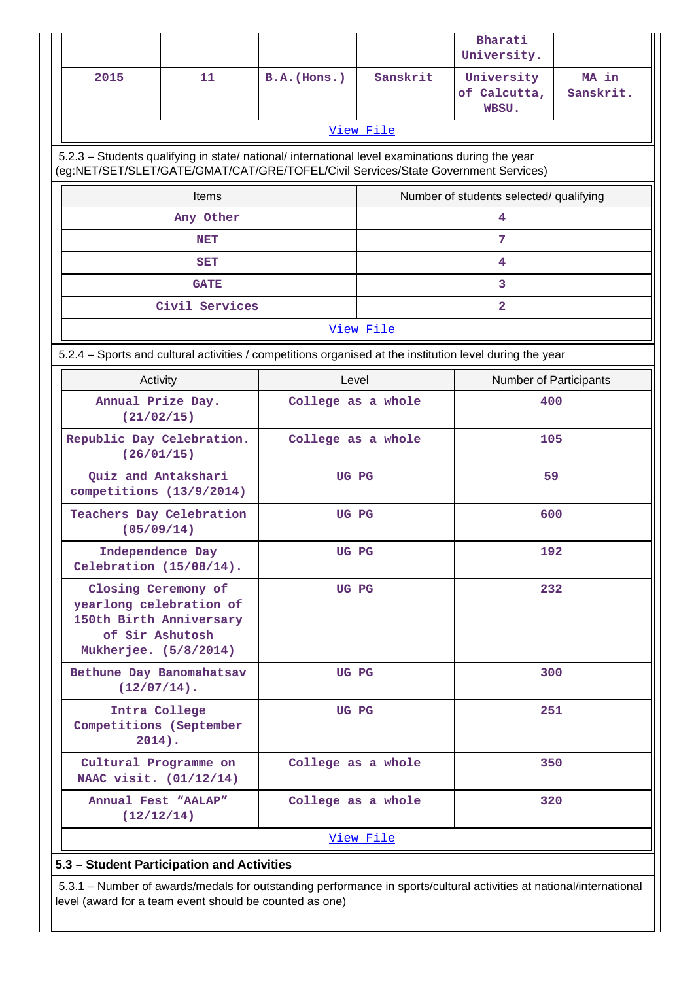|                                                                                                                       |                |                                                                                                                                                                                        |                    | Bharati<br>University.                  |                    |  |  |
|-----------------------------------------------------------------------------------------------------------------------|----------------|----------------------------------------------------------------------------------------------------------------------------------------------------------------------------------------|--------------------|-----------------------------------------|--------------------|--|--|
| 2015                                                                                                                  | 11             | $B.A.$ (Hons.)                                                                                                                                                                         | Sanskrit           | University<br>of Calcutta,<br>WBSU.     | MA in<br>Sanskrit. |  |  |
|                                                                                                                       |                |                                                                                                                                                                                        | View File          |                                         |                    |  |  |
|                                                                                                                       |                | 5.2.3 - Students qualifying in state/ national/ international level examinations during the year<br>(eg:NET/SET/SLET/GATE/GMAT/CAT/GRE/TOFEL/Civil Services/State Government Services) |                    |                                         |                    |  |  |
|                                                                                                                       | Items          |                                                                                                                                                                                        |                    | Number of students selected/ qualifying |                    |  |  |
|                                                                                                                       | Any Other      |                                                                                                                                                                                        |                    | 4                                       |                    |  |  |
|                                                                                                                       | <b>NET</b>     |                                                                                                                                                                                        |                    | 7                                       |                    |  |  |
|                                                                                                                       | <b>SET</b>     |                                                                                                                                                                                        |                    | 4                                       |                    |  |  |
|                                                                                                                       | <b>GATE</b>    |                                                                                                                                                                                        |                    | 3                                       |                    |  |  |
|                                                                                                                       | Civil Services |                                                                                                                                                                                        |                    | $\overline{a}$                          |                    |  |  |
|                                                                                                                       |                |                                                                                                                                                                                        | View File          |                                         |                    |  |  |
| 5.2.4 - Sports and cultural activities / competitions organised at the institution level during the year              |                |                                                                                                                                                                                        |                    |                                         |                    |  |  |
| Activity                                                                                                              |                | Level                                                                                                                                                                                  |                    | Number of Participants                  |                    |  |  |
| Annual Prize Day.<br>(21/02/15)                                                                                       |                |                                                                                                                                                                                        | College as a whole |                                         | 400                |  |  |
| Republic Day Celebration.<br>(26/01/15)                                                                               |                | College as a whole                                                                                                                                                                     |                    | 105                                     |                    |  |  |
| Quiz and Antakshari<br>competitions (13/9/2014)                                                                       |                | UG PG                                                                                                                                                                                  |                    | 59                                      |                    |  |  |
| Teachers Day Celebration<br>(05/09/14)                                                                                |                | UG PG                                                                                                                                                                                  | 600                |                                         |                    |  |  |
| Independence Day<br>Celebration (15/08/14).                                                                           |                | UG PG                                                                                                                                                                                  |                    | 192                                     |                    |  |  |
| Closing Ceremony of<br>yearlong celebration of<br>150th Birth Anniversary<br>of Sir Ashutosh<br>Mukherjee. (5/8/2014) |                | UG PG                                                                                                                                                                                  |                    | 232                                     |                    |  |  |
| Bethune Day Banomahatsav<br>$(12/07/14)$ .                                                                            |                |                                                                                                                                                                                        | UG PG<br>300       |                                         |                    |  |  |
| Intra College<br>UG PG<br>Competitions (September<br>$2014$ ).                                                        |                |                                                                                                                                                                                        | 251                |                                         |                    |  |  |
| Cultural Programme on<br>NAAC visit. (01/12/14)                                                                       |                | College as a whole                                                                                                                                                                     |                    | 350                                     |                    |  |  |
| Annual Fest "AALAP"<br>(12/12/14)                                                                                     |                | College as a whole                                                                                                                                                                     |                    | 320                                     |                    |  |  |
|                                                                                                                       |                |                                                                                                                                                                                        | View File          |                                         |                    |  |  |
| 5.3 - Student Participation and Activities                                                                            |                |                                                                                                                                                                                        |                    |                                         |                    |  |  |

 5.3.1 – Number of awards/medals for outstanding performance in sports/cultural activities at national/international level (award for a team event should be counted as one)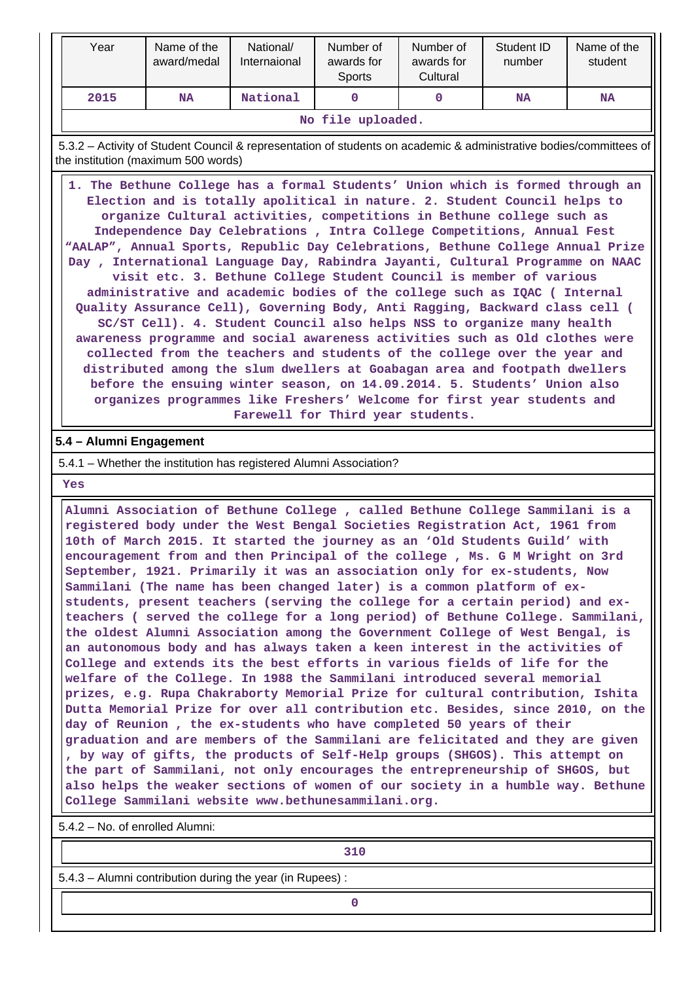| Year              | Name of the<br>award/medal               | National/<br>Internaional | Number of<br>awards for<br>Sports | Number of<br>awards for<br>Cultural | Student ID<br>number | Name of the<br>student |
|-------------------|------------------------------------------|---------------------------|-----------------------------------|-------------------------------------|----------------------|------------------------|
| 2015              | National<br>NA<br><b>NA</b><br><b>NA</b> |                           |                                   |                                     |                      |                        |
| No file uploaded. |                                          |                           |                                   |                                     |                      |                        |

 5.3.2 – Activity of Student Council & representation of students on academic & administrative bodies/committees of the institution (maximum 500 words)

 **1. The Bethune College has a formal Students' Union which is formed through an Election and is totally apolitical in nature. 2. Student Council helps to organize Cultural activities, competitions in Bethune college such as Independence Day Celebrations , Intra College Competitions, Annual Fest "AALAP", Annual Sports, Republic Day Celebrations, Bethune College Annual Prize Day , International Language Day, Rabindra Jayanti, Cultural Programme on NAAC visit etc. 3. Bethune College Student Council is member of various administrative and academic bodies of the college such as IQAC ( Internal Quality Assurance Cell), Governing Body, Anti Ragging, Backward class cell ( SC/ST Cell). 4. Student Council also helps NSS to organize many health awareness programme and social awareness activities such as Old clothes were collected from the teachers and students of the college over the year and distributed among the slum dwellers at Goabagan area and footpath dwellers before the ensuing winter season, on 14.09.2014. 5. Students' Union also organizes programmes like Freshers' Welcome for first year students and Farewell for Third year students.**

### **5.4 – Alumni Engagement**

#### 5.4.1 – Whether the institution has registered Alumni Association?

 **Yes**

 **Alumni Association of Bethune College , called Bethune College Sammilani is a registered body under the West Bengal Societies Registration Act, 1961 from 10th of March 2015. It started the journey as an 'Old Students Guild' with encouragement from and then Principal of the college , Ms. G M Wright on 3rd September, 1921. Primarily it was an association only for ex-students, Now Sammilani (The name has been changed later) is a common platform of exstudents, present teachers (serving the college for a certain period) and exteachers ( served the college for a long period) of Bethune College. Sammilani, the oldest Alumni Association among the Government College of West Bengal, is an autonomous body and has always taken a keen interest in the activities of College and extends its the best efforts in various fields of life for the welfare of the College. In 1988 the Sammilani introduced several memorial prizes, e.g. Rupa Chakraborty Memorial Prize for cultural contribution, Ishita Dutta Memorial Prize for over all contribution etc. Besides, since 2010, on the day of Reunion , the ex-students who have completed 50 years of their graduation and are members of the Sammilani are felicitated and they are given , by way of gifts, the products of Self-Help groups (SHGOS). This attempt on the part of Sammilani, not only encourages the entrepreneurship of SHGOS, but also helps the weaker sections of women of our society in a humble way. Bethune College Sammilani website www.bethunesammilani.org.**

5.4.2 – No. of enrolled Alumni:

**310** 

5.4.3 – Alumni contribution during the year (in Rupees) :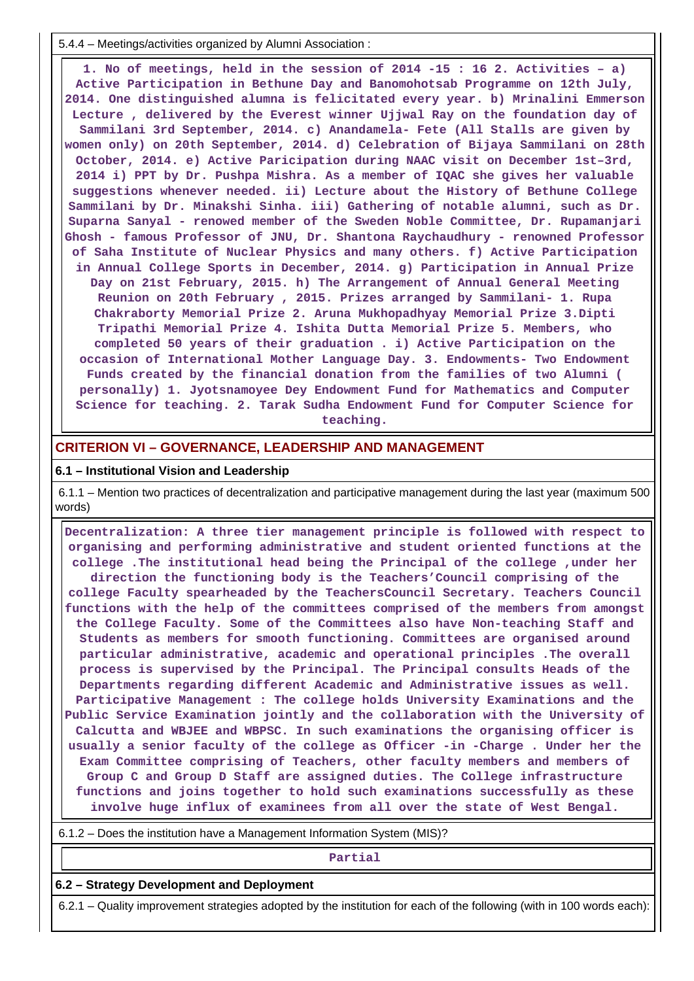5.4.4 – Meetings/activities organized by Alumni Association :

 **1. No of meetings, held in the session of 2014 -15 : 16 2. Activities – a) Active Participation in Bethune Day and Banomohotsab Programme on 12th July, 2014. One distinguished alumna is felicitated every year. b) Mrinalini Emmerson Lecture , delivered by the Everest winner Ujjwal Ray on the foundation day of Sammilani 3rd September, 2014. c) Anandamela- Fete (All Stalls are given by women only) on 20th September, 2014. d) Celebration of Bijaya Sammilani on 28th October, 2014. e) Active Paricipation during NAAC visit on December 1st–3rd, 2014 i) PPT by Dr. Pushpa Mishra. As a member of IQAC she gives her valuable suggestions whenever needed. ii) Lecture about the History of Bethune College Sammilani by Dr. Minakshi Sinha. iii) Gathering of notable alumni, such as Dr. Suparna Sanyal - renowed member of the Sweden Noble Committee, Dr. Rupamanjari Ghosh - famous Professor of JNU, Dr. Shantona Raychaudhury - renowned Professor of Saha Institute of Nuclear Physics and many others. f) Active Participation in Annual College Sports in December, 2014. g) Participation in Annual Prize Day on 21st February, 2015. h) The Arrangement of Annual General Meeting Reunion on 20th February , 2015. Prizes arranged by Sammilani- 1. Rupa Chakraborty Memorial Prize 2. Aruna Mukhopadhyay Memorial Prize 3.Dipti Tripathi Memorial Prize 4. Ishita Dutta Memorial Prize 5. Members, who completed 50 years of their graduation . i) Active Participation on the occasion of International Mother Language Day. 3. Endowments- Two Endowment Funds created by the financial donation from the families of two Alumni ( personally) 1. Jyotsnamoyee Dey Endowment Fund for Mathematics and Computer Science for teaching. 2. Tarak Sudha Endowment Fund for Computer Science for teaching.**

#### **CRITERION VI – GOVERNANCE, LEADERSHIP AND MANAGEMENT**

#### **6.1 – Institutional Vision and Leadership**

 6.1.1 – Mention two practices of decentralization and participative management during the last year (maximum 500 words)

 **Decentralization: A three tier management principle is followed with respect to organising and performing administrative and student oriented functions at the college .The institutional head being the Principal of the college ,under her direction the functioning body is the Teachers'Council comprising of the college Faculty spearheaded by the TeachersCouncil Secretary. Teachers Council functions with the help of the committees comprised of the members from amongst the College Faculty. Some of the Committees also have Non-teaching Staff and Students as members for smooth functioning. Committees are organised around particular administrative, academic and operational principles .The overall process is supervised by the Principal. The Principal consults Heads of the Departments regarding different Academic and Administrative issues as well. Participative Management : The college holds University Examinations and the Public Service Examination jointly and the collaboration with the University of Calcutta and WBJEE and WBPSC. In such examinations the organising officer is usually a senior faculty of the college as Officer -in -Charge . Under her the Exam Committee comprising of Teachers, other faculty members and members of Group C and Group D Staff are assigned duties. The College infrastructure functions and joins together to hold such examinations successfully as these involve huge influx of examinees from all over the state of West Bengal.**

6.1.2 – Does the institution have a Management Information System (MIS)?

#### **Partial**

#### **6.2 – Strategy Development and Deployment**

6.2.1 – Quality improvement strategies adopted by the institution for each of the following (with in 100 words each):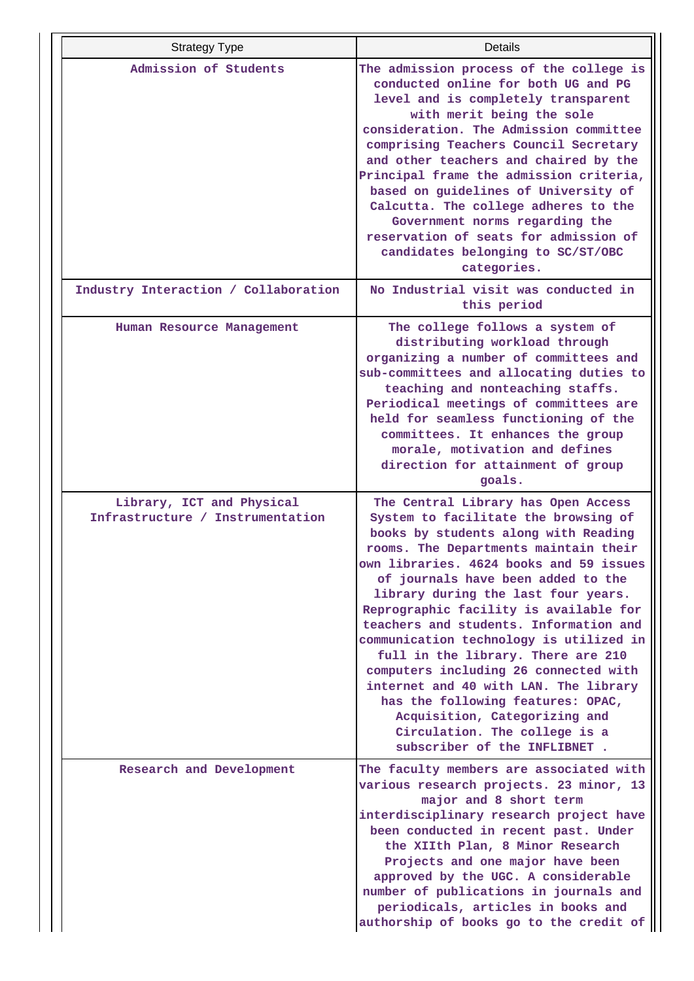| <b>Strategy Type</b>                                          | Details                                                                                                                                                                                                                                                                                                                                                                                                                                                                                                                                                                                                                                                                            |
|---------------------------------------------------------------|------------------------------------------------------------------------------------------------------------------------------------------------------------------------------------------------------------------------------------------------------------------------------------------------------------------------------------------------------------------------------------------------------------------------------------------------------------------------------------------------------------------------------------------------------------------------------------------------------------------------------------------------------------------------------------|
| Admission of Students                                         | The admission process of the college is<br>conducted online for both UG and PG<br>level and is completely transparent<br>with merit being the sole<br>consideration. The Admission committee<br>comprising Teachers Council Secretary<br>and other teachers and chaired by the<br>Principal frame the admission criteria,<br>based on guidelines of University of<br>Calcutta. The college adheres to the<br>Government norms regarding the<br>reservation of seats for admission of<br>candidates belonging to SC/ST/OBC<br>categories.                                                                                                                                           |
| Industry Interaction / Collaboration                          | No Industrial visit was conducted in<br>this period                                                                                                                                                                                                                                                                                                                                                                                                                                                                                                                                                                                                                                |
| Human Resource Management                                     | The college follows a system of<br>distributing workload through<br>organizing a number of committees and<br>sub-committees and allocating duties to<br>teaching and nonteaching staffs.<br>Periodical meetings of committees are<br>held for seamless functioning of the<br>committees. It enhances the group<br>morale, motivation and defines<br>direction for attainment of group<br>goals.                                                                                                                                                                                                                                                                                    |
| Library, ICT and Physical<br>Infrastructure / Instrumentation | The Central Library has Open Access<br>System to facilitate the browsing of<br>books by students along with Reading<br>rooms. The Departments maintain their<br>own libraries. 4624 books and 59 issues<br>of journals have been added to the<br>library during the last four years.<br>Reprographic facility is available for<br>teachers and students. Information and<br>communication technology is utilized in<br>full in the library. There are 210<br>computers including 26 connected with<br>internet and 40 with LAN. The library<br>has the following features: OPAC,<br>Acquisition, Categorizing and<br>Circulation. The college is a<br>subscriber of the INFLIBNET. |
| Research and Development                                      | The faculty members are associated with<br>various research projects. 23 minor, 13<br>major and 8 short term<br>interdisciplinary research project have<br>been conducted in recent past. Under<br>the XIIth Plan, 8 Minor Research<br>Projects and one major have been<br>approved by the UGC. A considerable<br>number of publications in journals and<br>periodicals, articles in books and<br>authorship of books go to the credit of                                                                                                                                                                                                                                          |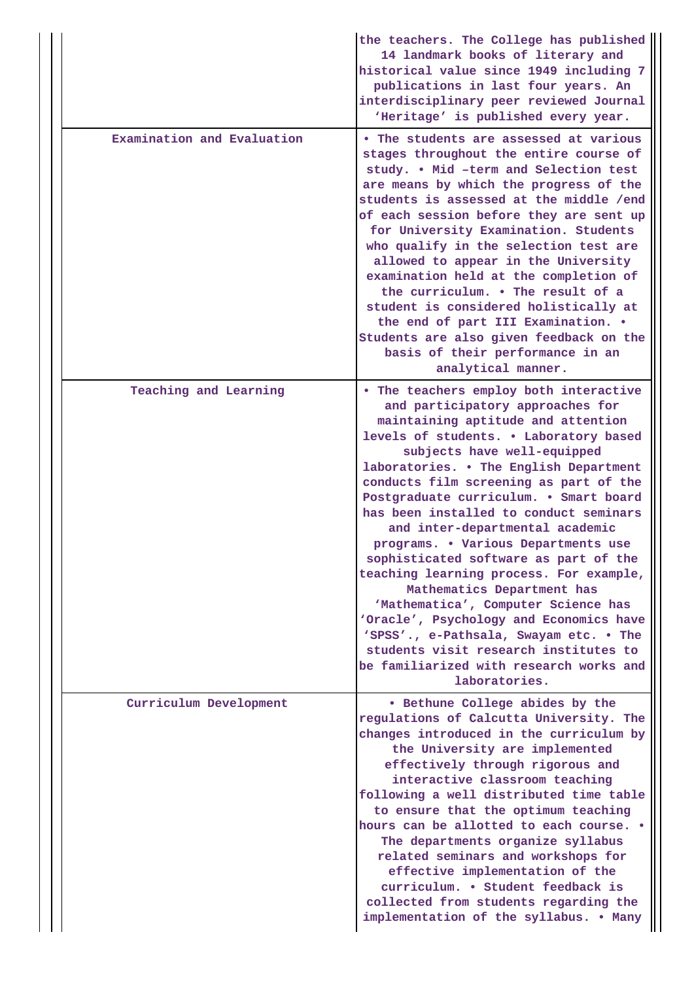|                            | the teachers. The College has published<br>14 landmark books of literary and<br>historical value since 1949 including 7<br>publications in last four years. An<br>interdisciplinary peer reviewed Journal<br>'Heritage' is published every year.                                                                                                                                                                                                                                                                                                                                                                                                                                                                                                                                               |
|----------------------------|------------------------------------------------------------------------------------------------------------------------------------------------------------------------------------------------------------------------------------------------------------------------------------------------------------------------------------------------------------------------------------------------------------------------------------------------------------------------------------------------------------------------------------------------------------------------------------------------------------------------------------------------------------------------------------------------------------------------------------------------------------------------------------------------|
| Examination and Evaluation | • The students are assessed at various<br>stages throughout the entire course of<br>study. . Mid -term and Selection test<br>are means by which the progress of the<br>students is assessed at the middle /end<br>of each session before they are sent up<br>for University Examination. Students<br>who qualify in the selection test are<br>allowed to appear in the University<br>examination held at the completion of<br>the curriculum. . The result of a<br>student is considered holistically at<br>the end of part III Examination. .<br>Students are also given feedback on the<br>basis of their performance in an<br>analytical manner.                                                                                                                                            |
| Teaching and Learning      | . The teachers employ both interactive<br>and participatory approaches for<br>maintaining aptitude and attention<br>levels of students. . Laboratory based<br>subjects have well-equipped<br>laboratories. . The English Department<br>conducts film screening as part of the<br>Postgraduate curriculum. . Smart board<br>has been installed to conduct seminars<br>and inter-departmental academic<br>programs. . Various Departments use<br>sophisticated software as part of the<br>teaching learning process. For example,<br>Mathematics Department has<br>'Mathematica', Computer Science has<br>'Oracle', Psychology and Economics have<br>'SPSS'., e-Pathsala, Swayam etc. . The<br>students visit research institutes to<br>be familiarized with research works and<br>laboratories. |
| Curriculum Development     | • Bethune College abides by the<br>regulations of Calcutta University. The<br>changes introduced in the curriculum by<br>the University are implemented<br>effectively through rigorous and<br>interactive classroom teaching<br>following a well distributed time table<br>to ensure that the optimum teaching<br>hours can be allotted to each course. .<br>The departments organize syllabus<br>related seminars and workshops for<br>effective implementation of the<br>curriculum. • Student feedback is<br>collected from students regarding the<br>implementation of the syllabus. . Many                                                                                                                                                                                               |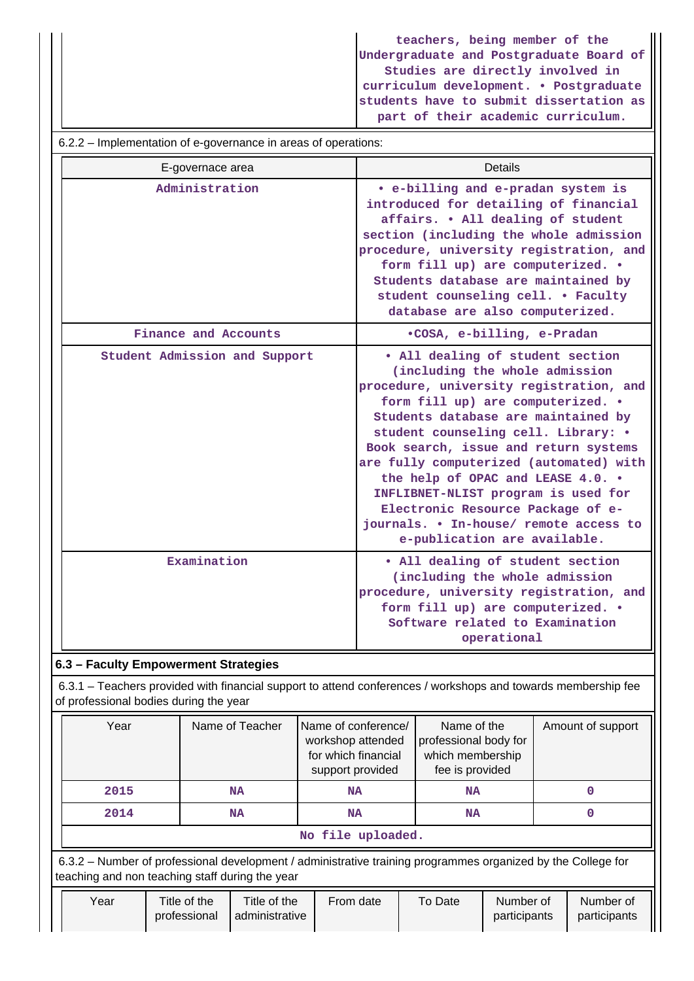**teachers, being member of the Undergraduate and Postgraduate Board of Studies are directly involved in curriculum development. • Postgraduate students have to submit dissertation as part of their academic curriculum.**

#### 6.2.2 – Implementation of e-governance in areas of operations:

| E-governace area              | <b>Details</b>                                                                                                                                                                                                                                                                                                                                                                                                                                                                                                  |
|-------------------------------|-----------------------------------------------------------------------------------------------------------------------------------------------------------------------------------------------------------------------------------------------------------------------------------------------------------------------------------------------------------------------------------------------------------------------------------------------------------------------------------------------------------------|
| Administration                | • e-billing and e-pradan system is<br>introduced for detailing of financial<br>affairs. . All dealing of student<br>section (including the whole admission<br>procedure, university registration, and<br>form fill up) are computerized. .<br>Students database are maintained by<br>student counseling cell. . Faculty<br>database are also computerized.                                                                                                                                                      |
| Finance and Accounts          | .COSA, e-billing, e-Pradan                                                                                                                                                                                                                                                                                                                                                                                                                                                                                      |
| Student Admission and Support | • All dealing of student section<br>(including the whole admission<br>procedure, university registration, and<br>form fill up) are computerized. .<br>Students database are maintained by<br>student counseling cell. Library: .<br>Book search, issue and return systems<br>are fully computerized (automated) with<br>the help of OPAC and LEASE 4.0. .<br>INFLIBNET-NLIST program is used for<br>Electronic Resource Package of e-<br>journals. . In-house/ remote access to<br>e-publication are available. |
| Examination                   | • All dealing of student section<br>(including the whole admission<br>procedure, university registration, and<br>form fill up) are computerized. .<br>Software related to Examination<br>operational                                                                                                                                                                                                                                                                                                            |

## **6.3 – Faculty Empowerment Strategies**

 6.3.1 – Teachers provided with financial support to attend conferences / workshops and towards membership fee of professional bodies during the year

|                   | Year                            | Name of Teacher | Name of conference/<br>workshop attended<br>for which financial<br>support provided | Name of the<br>professional body for<br>which membership<br>fee is provided                        | Amount of support |  |  |
|-------------------|---------------------------------|-----------------|-------------------------------------------------------------------------------------|----------------------------------------------------------------------------------------------------|-------------------|--|--|
| 2015<br>NA        |                                 | <b>NA</b>       | NA                                                                                  |                                                                                                    |                   |  |  |
| 2014<br><b>NA</b> |                                 |                 | <b>NA</b>                                                                           | NA                                                                                                 |                   |  |  |
|                   | No file uploaded.               |                 |                                                                                     |                                                                                                    |                   |  |  |
|                   | $\mathfrak{c}\circ\mathfrak{a}$ |                 |                                                                                     | Number of professional development Lodministrative training programmes examized by the College for |                   |  |  |

 6.3.2 – Number of professional development / administrative training programmes organized by the College for teaching and non teaching staff during the year

| Title of the<br>From date<br>Title of the<br>Year<br>Number of<br>To Date<br>Number of<br>participants<br>participants<br>' administrative<br>professional |
|------------------------------------------------------------------------------------------------------------------------------------------------------------|
|------------------------------------------------------------------------------------------------------------------------------------------------------------|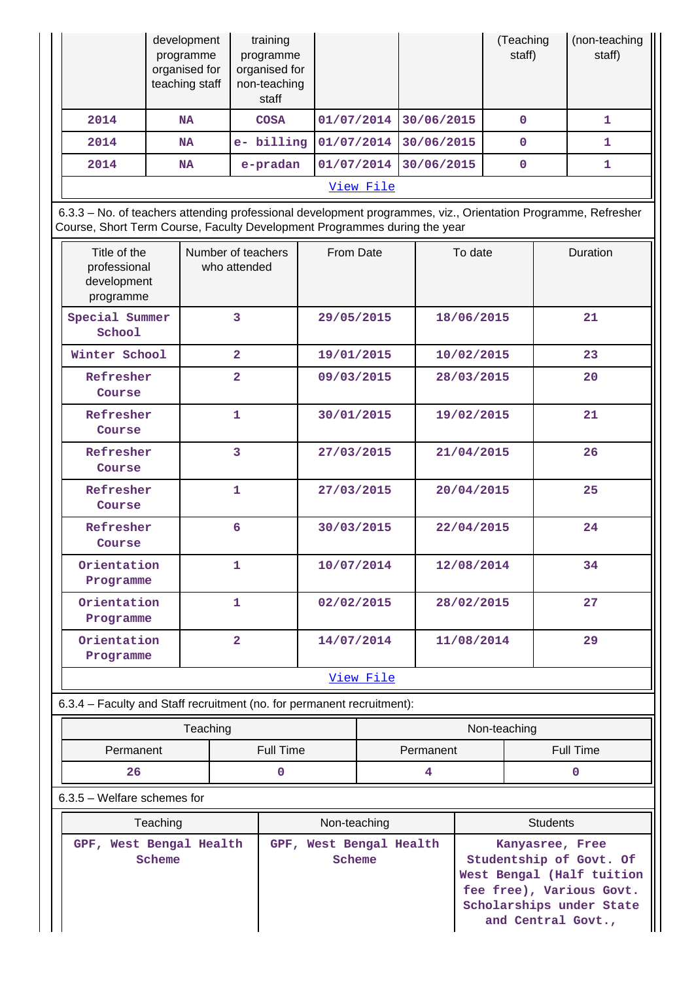|           | development<br>programme<br>organised for<br>teaching staff | training<br>programme<br>organised for<br>non-teaching<br>staff |            |            | Teaching)<br>staff) | (non-teaching<br>staff) |
|-----------|-------------------------------------------------------------|-----------------------------------------------------------------|------------|------------|---------------------|-------------------------|
| 2014      | <b>NA</b>                                                   | <b>COSA</b>                                                     | 01/07/2014 | 30/06/2015 | 0                   |                         |
| 2014      | <b>NA</b>                                                   | e- billing                                                      | 01/07/2014 | 30/06/2015 | $\mathbf 0$         |                         |
| 2014      | <b>NA</b>                                                   | e-pradan                                                        | 01/07/2014 | 30/06/2015 | $\mathbf 0$         |                         |
| View File |                                                             |                                                                 |            |            |                     |                         |

 6.3.3 – No. of teachers attending professional development programmes, viz., Orientation Programme, Refresher Course, Short Term Course, Faculty Development Programmes during the year

| Title of the<br>professional<br>development<br>programme | Number of teachers<br>who attended | From Date  | To date    | <b>Duration</b> |
|----------------------------------------------------------|------------------------------------|------------|------------|-----------------|
| Special Summer<br>School                                 | 3                                  | 29/05/2015 | 18/06/2015 | 21              |
| Winter School                                            | $\overline{2}$                     | 19/01/2015 | 10/02/2015 | 23              |
| Refresher<br>Course                                      | $\overline{2}$                     | 09/03/2015 | 28/03/2015 | 20              |
| Refresher<br>Course                                      | 1                                  | 30/01/2015 | 19/02/2015 | 21              |
| Refresher<br>Course                                      | $\overline{3}$                     | 27/03/2015 | 21/04/2015 | 26              |
| Refresher<br>Course                                      | $\mathbf{1}$                       | 27/03/2015 | 20/04/2015 | 25              |
| Refresher<br>Course                                      | 6                                  | 30/03/2015 | 22/04/2015 | 24              |
| Orientation<br>Programme                                 | $\mathbf{1}$                       | 10/07/2014 | 12/08/2014 | 34              |
| Orientation<br>Programme                                 | 1                                  | 02/02/2015 | 28/02/2015 | 27              |
| Orientation<br>Programme                                 | $\overline{a}$                     | 14/07/2014 | 11/08/2014 | 29              |
|                                                          |                                    | View File  |            |                 |

6.3.4 – Faculty and Staff recruitment (no. for permanent recruitment):

|                        | Teaching | Non-teaching           |  |  |
|------------------------|----------|------------------------|--|--|
| Full Time<br>Permanent |          | Full Time<br>Permanent |  |  |
| 26                     |          |                        |  |  |

6.3.5 – Welfare schemes for

| Teaching                                | Non-teaching                      | <b>Students</b>                                                                                                                                       |
|-----------------------------------------|-----------------------------------|-------------------------------------------------------------------------------------------------------------------------------------------------------|
| West Bengal Health<br>$GPF$ ,<br>Scheme | GPF, West Bengal Health<br>Scheme | Kanyasree, Free<br>Studentship of Govt. Of<br>West Bengal (Half tuition<br>fee free), Various Govt.<br>Scholarships under State<br>and Central Govt., |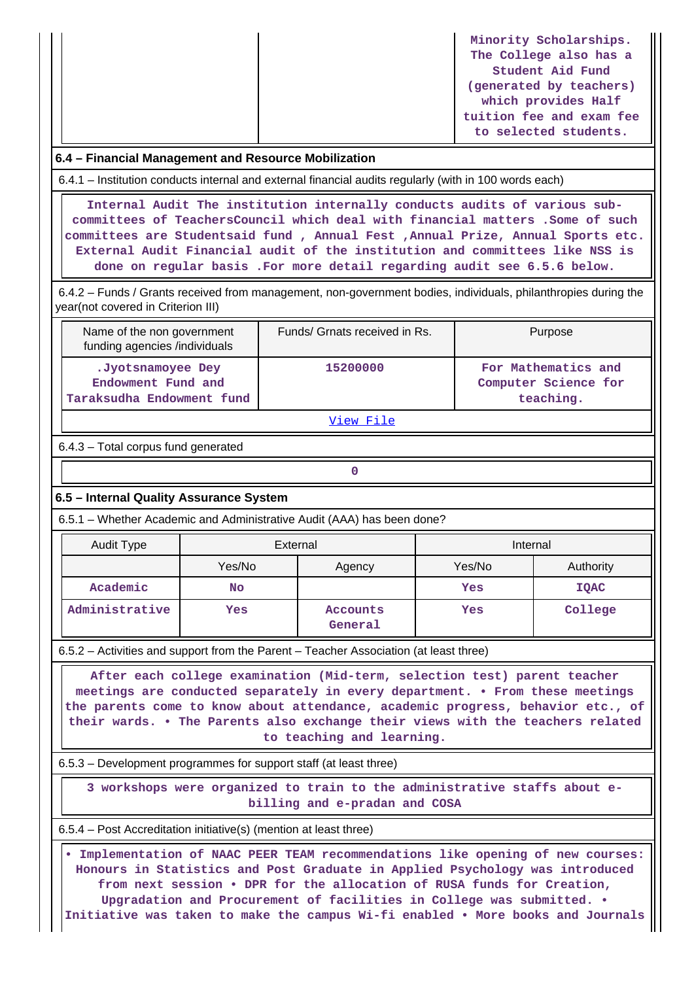|                                                      | Minority Scholarships.<br>The College also has a |  |  |  |
|------------------------------------------------------|--------------------------------------------------|--|--|--|
|                                                      | Student Aid Fund                                 |  |  |  |
|                                                      | (generated by teachers)                          |  |  |  |
|                                                      | which provides Half                              |  |  |  |
|                                                      | tuition fee and exam fee                         |  |  |  |
|                                                      | to selected students.                            |  |  |  |
| 6.4 – Financial Management and Resource Mobilization |                                                  |  |  |  |

6.4.1 – Institution conducts internal and external financial audits regularly (with in 100 words each)

 **Internal Audit The institution internally conducts audits of various subcommittees of TeachersCouncil which deal with financial matters .Some of such committees are Studentsaid fund , Annual Fest ,Annual Prize, Annual Sports etc. External Audit Financial audit of the institution and committees like NSS is done on regular basis .For more detail regarding audit see 6.5.6 below.**

 6.4.2 – Funds / Grants received from management, non-government bodies, individuals, philanthropies during the year(not covered in Criterion III)

| Name of the non government<br>funding agencies /individuals          | Funds/ Grnats received in Rs. | Purpose                                                  |
|----------------------------------------------------------------------|-------------------------------|----------------------------------------------------------|
| .Jyotsnamoyee Dey<br>Endowment Fund and<br>Taraksudha Endowment fund | 15200000                      | For Mathematics and<br>Computer Science for<br>teaching. |

[View File](https://assessmentonline.naac.gov.in/public/Postacc/Funds_or_Grants/3299_Funds_or_Grants_1579247708.xlsx)

6.4.3 – Total corpus fund generated

## **6.5 – Internal Quality Assurance System**

**0**

6.5.1 – Whether Academic and Administrative Audit (AAA) has been done?

| Audit Type     | External         |                     | Internal |             |
|----------------|------------------|---------------------|----------|-------------|
|                | Yes/No<br>Agency |                     | Yes/No   | Authority   |
| Academic       | No               |                     | Yes      | <b>IQAC</b> |
| Administrative | Yes              | Accounts<br>General | Yes      | College     |

6.5.2 – Activities and support from the Parent – Teacher Association (at least three)

 **After each college examination (Mid-term, selection test) parent teacher meetings are conducted separately in every department. • From these meetings the parents come to know about attendance, academic progress, behavior etc., of their wards. • The Parents also exchange their views with the teachers related to teaching and learning.**

6.5.3 – Development programmes for support staff (at least three)

 **3 workshops were organized to train to the administrative staffs about ebilling and e-pradan and COSA**

6.5.4 – Post Accreditation initiative(s) (mention at least three)

 **• Implementation of NAAC PEER TEAM recommendations like opening of new courses: Honours in Statistics and Post Graduate in Applied Psychology was introduced from next session • DPR for the allocation of RUSA funds for Creation, Upgradation and Procurement of facilities in College was submitted. • Initiative was taken to make the campus Wi-fi enabled • More books and Journals**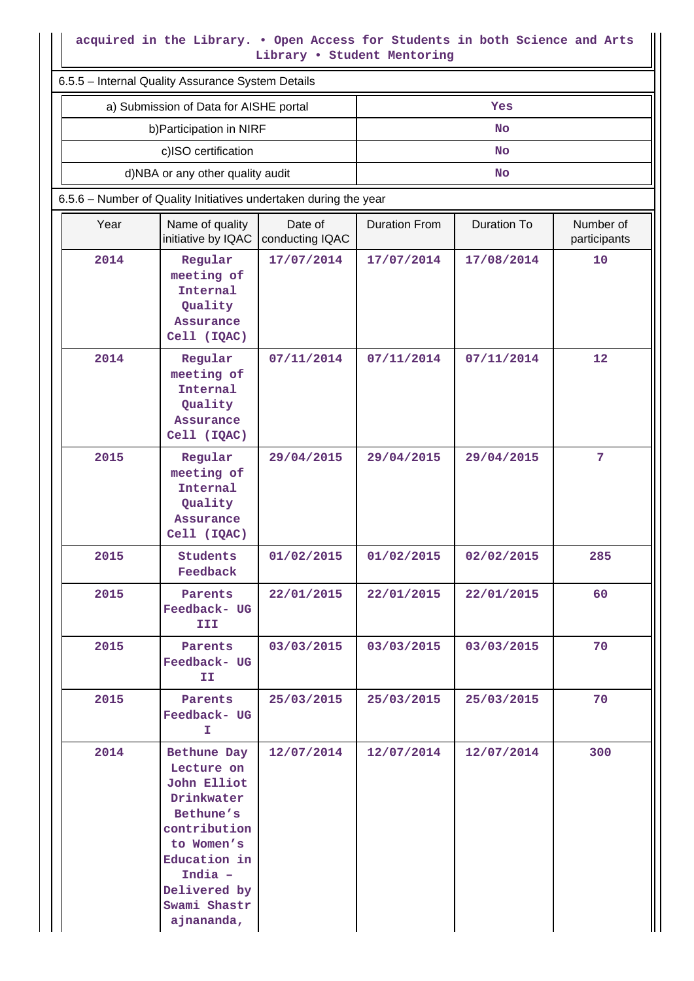## **acquired in the Library. • Open Access for Students in both Science and Arts Library • Student Mentoring**

|                                                   | acquired in the Library. . Open Access for Students in both Science and Arts<br>Library . Student Mentoring                                                                |                            |                      |                    |                           |  |
|---------------------------------------------------|----------------------------------------------------------------------------------------------------------------------------------------------------------------------------|----------------------------|----------------------|--------------------|---------------------------|--|
| 6.5.5 - Internal Quality Assurance System Details |                                                                                                                                                                            |                            |                      |                    |                           |  |
|                                                   | a) Submission of Data for AISHE portal                                                                                                                                     |                            |                      | Yes                |                           |  |
|                                                   | b) Participation in NIRF                                                                                                                                                   |                            |                      | No                 |                           |  |
|                                                   | c)ISO certification                                                                                                                                                        |                            |                      | <b>No</b>          |                           |  |
|                                                   | d)NBA or any other quality audit                                                                                                                                           |                            |                      | <b>No</b>          |                           |  |
|                                                   | 6.5.6 - Number of Quality Initiatives undertaken during the year                                                                                                           |                            |                      |                    |                           |  |
| Year                                              | Name of quality<br>initiative by IQAC                                                                                                                                      | Date of<br>conducting IQAC | <b>Duration From</b> | <b>Duration To</b> | Number of<br>participants |  |
| 2014                                              | Regular<br>meeting of<br>Internal<br>Quality<br>Assurance<br>Cell (IQAC)                                                                                                   | 17/07/2014                 | 17/07/2014           | 17/08/2014         | 10                        |  |
| 2014                                              | Regular<br>meeting of<br>Internal<br>Quality<br><b>Assurance</b><br>Cell (IQAC)                                                                                            | 07/11/2014                 | 07/11/2014           | 07/11/2014         | 12                        |  |
| 2015                                              | Regular<br>meeting of<br>Internal<br>Quality<br>Assurance<br>Cell (IQAC)                                                                                                   | 29/04/2015                 | 29/04/2015           | 29/04/2015         | $\overline{7}$            |  |
| 2015                                              | Students<br>Feedback                                                                                                                                                       | 01/02/2015                 | 01/02/2015           | 02/02/2015         | 285                       |  |
| 2015                                              | Parents<br>Feedback- UG<br>III                                                                                                                                             | 22/01/2015                 | 22/01/2015           | 22/01/2015         | 60                        |  |
| 2015                                              | Parents<br>Feedback- UG<br>II.                                                                                                                                             | 03/03/2015                 | 03/03/2015           | 03/03/2015         | 70                        |  |
| 2015                                              | Parents<br>Feedback- UG<br>Ι.                                                                                                                                              | 25/03/2015                 | 25/03/2015           | 25/03/2015         | 70                        |  |
| 2014                                              | Bethune Day<br>Lecture on<br>John Elliot<br>Drinkwater<br>Bethune's<br>contribution<br>to Women's<br>Education in<br>India -<br>Delivered by<br>Swami Shastr<br>ajnananda, | 12/07/2014                 | 12/07/2014           | 12/07/2014         | 300                       |  |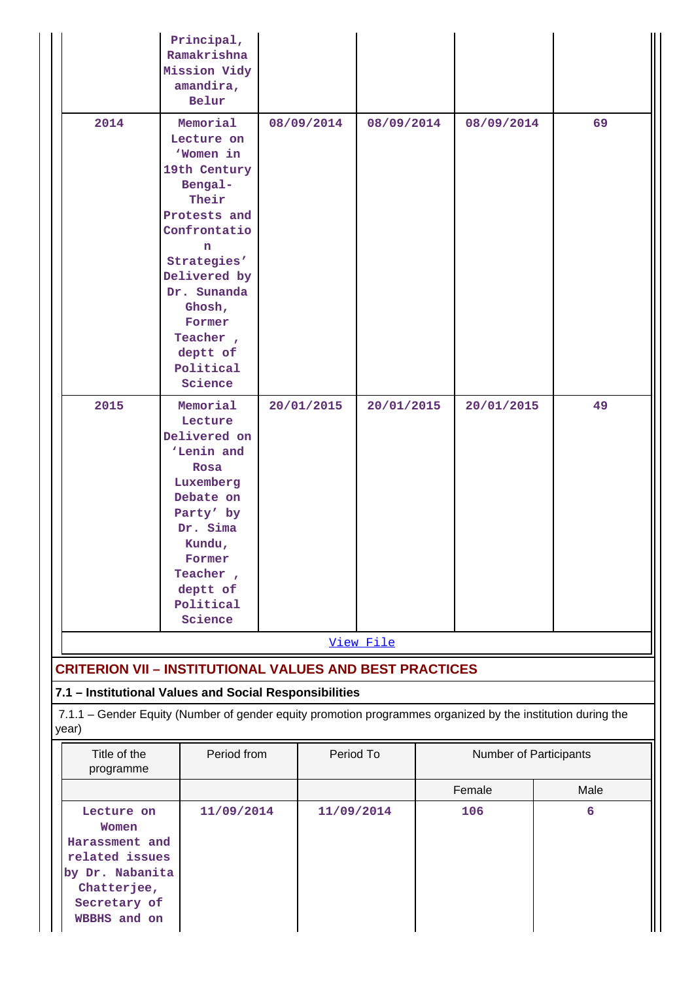|                                                                                                                                         | Principal,<br>Ramakrishna<br>Mission Vidy<br>amandira,<br>Belur                                                                                                                                                                |             |            |            |  |                        |      |
|-----------------------------------------------------------------------------------------------------------------------------------------|--------------------------------------------------------------------------------------------------------------------------------------------------------------------------------------------------------------------------------|-------------|------------|------------|--|------------------------|------|
| 2014                                                                                                                                    | Memorial<br>Lecture on<br>'Women in<br>19th Century<br>Bengal-<br>Their<br>Protests and<br>Confrontatio<br>n<br>Strategies'<br>Delivered by<br>Dr. Sunanda<br>Ghosh,<br>Former<br>Teacher,<br>deptt of<br>Political<br>Science |             | 08/09/2014 | 08/09/2014 |  | 08/09/2014             | 69   |
| 2015                                                                                                                                    | Memorial<br>Lecture<br>Delivered on<br>'Lenin and<br>Rosa<br>Luxemberg<br>Debate on<br>Party' by<br>Dr. Sima<br>Kundu,<br>Former<br>Teacher,<br>deptt of<br>Political<br>Science                                               |             | 20/01/2015 | 20/01/2015 |  | 20/01/2015             | 49   |
|                                                                                                                                         |                                                                                                                                                                                                                                |             |            | View File  |  |                        |      |
|                                                                                                                                         | <b>CRITERION VII - INSTITUTIONAL VALUES AND BEST PRACTICES</b>                                                                                                                                                                 |             |            |            |  |                        |      |
|                                                                                                                                         | 7.1 - Institutional Values and Social Responsibilities                                                                                                                                                                         |             |            |            |  |                        |      |
| year)                                                                                                                                   | 7.1.1 - Gender Equity (Number of gender equity promotion programmes organized by the institution during the                                                                                                                    |             |            |            |  |                        |      |
| Title of the<br>programme                                                                                                               |                                                                                                                                                                                                                                | Period from |            | Period To  |  | Number of Participants |      |
|                                                                                                                                         |                                                                                                                                                                                                                                |             |            |            |  | Female                 | Male |
| 11/09/2014<br>Lecture on<br>Women<br>Harassment and<br>related issues<br>by Dr. Nabanita<br>Chatterjee,<br>Secretary of<br>WBBHS and on |                                                                                                                                                                                                                                |             | 11/09/2014 |            |  | 106                    | 6    |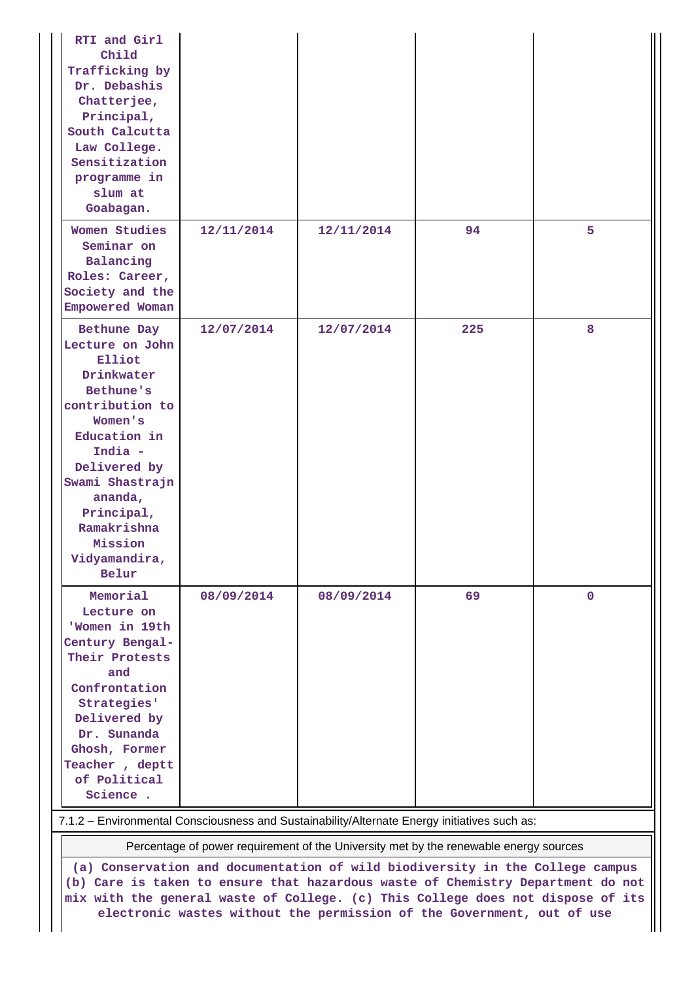| RTI and Girl<br>Child<br>Trafficking by<br>Dr. Debashis<br>Chatterjee,<br>Principal,<br>South Calcutta<br>Law College.<br>Sensitization<br>programme in<br>slum at<br>Goabagan.                                                              |                                                                                       |            |     |             |  |  |  |  |
|----------------------------------------------------------------------------------------------------------------------------------------------------------------------------------------------------------------------------------------------|---------------------------------------------------------------------------------------|------------|-----|-------------|--|--|--|--|
| Women Studies<br>Seminar on<br>Balancing<br>Roles: Career,<br>Society and the<br>Empowered Woman                                                                                                                                             | 12/11/2014                                                                            | 12/11/2014 | 94  | 5           |  |  |  |  |
| Bethune Day<br>Lecture on John<br>Elliot<br>Drinkwater<br>Bethune's<br>contribution to<br>Women's<br>Education in<br>India -<br>Delivered by<br>Swami Shastrajn<br>ananda,<br>Principal,<br>Ramakrishna<br>Mission<br>Vidyamandira,<br>Belur | 12/07/2014                                                                            | 12/07/2014 | 225 | 8           |  |  |  |  |
| Memorial<br>Lecture on<br>'Women in 19th<br>Century Bengal-<br>Their Protests<br>and<br>Confrontation<br>Strategies'<br>Delivered by<br>Dr. Sunanda<br>Ghosh, Former<br>Teacher, deptt<br>of Political<br>Science .                          | 08/09/2014                                                                            | 08/09/2014 | 69  | $\mathbf 0$ |  |  |  |  |
| 7.1.2 - Environmental Consciousness and Sustainability/Alternate Energy initiatives such as:                                                                                                                                                 |                                                                                       |            |     |             |  |  |  |  |
|                                                                                                                                                                                                                                              | Percentage of power requirement of the University met by the renewable energy sources |            |     |             |  |  |  |  |
|                                                                                                                                                                                                                                              | (a) Conservation and documentation of wild biodiversity in the College campus         |            |     |             |  |  |  |  |

**(b) Care is taken to ensure that hazardous waste of Chemistry Department do not mix with the general waste of College. (c) This College does not dispose of its electronic wastes without the permission of the Government, out of use**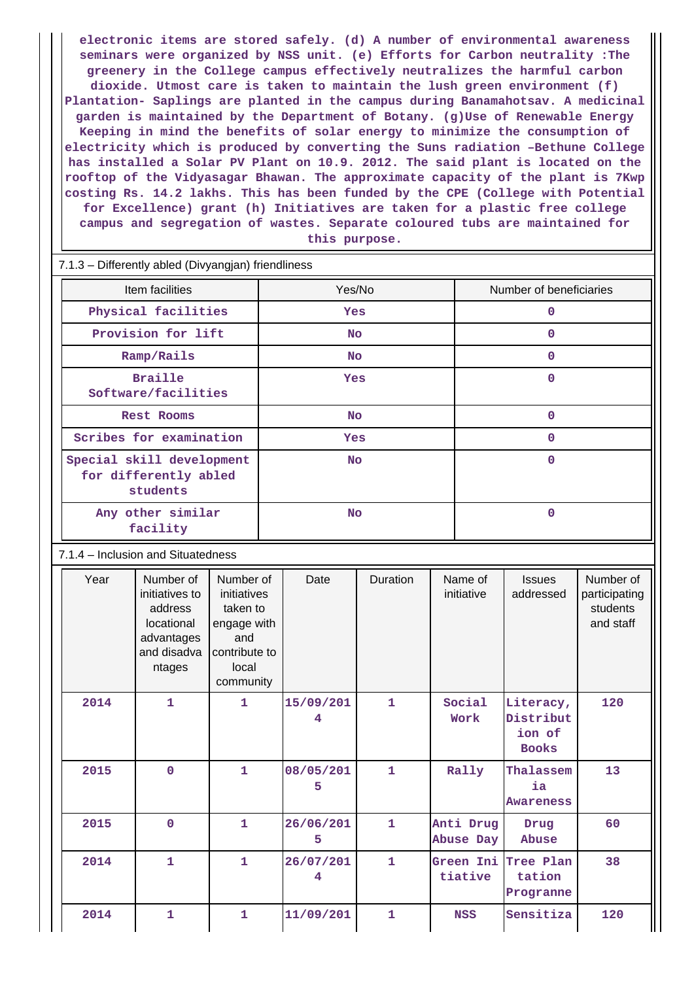**electronic items are stored safely. (d) A number of environmental awareness seminars were organized by NSS unit. (e) Efforts for Carbon neutrality :The greenery in the College campus effectively neutralizes the harmful carbon dioxide. Utmost care is taken to maintain the lush green environment (f) Plantation- Saplings are planted in the campus during Banamahotsav. A medicinal garden is maintained by the Department of Botany. (g)Use of Renewable Energy Keeping in mind the benefits of solar energy to minimize the consumption of electricity which is produced by converting the Suns radiation –Bethune College has installed a Solar PV Plant on 10.9. 2012. The said plant is located on the rooftop of the Vidyasagar Bhawan. The approximate capacity of the plant is 7Kwp costing Rs. 14.2 lakhs. This has been funded by the CPE (College with Potential for Excellence) grant (h) Initiatives are taken for a plastic free college campus and segregation of wastes. Separate coloured tubs are maintained for this purpose.**

| 7.1.3 - Differently abled (Divyangjan) friendliness            |            |                         |  |  |  |  |
|----------------------------------------------------------------|------------|-------------------------|--|--|--|--|
| Item facilities                                                | Yes/No     | Number of beneficiaries |  |  |  |  |
| Physical facilities                                            | <b>Yes</b> | 0                       |  |  |  |  |
| Provision for lift                                             | No.        | 0                       |  |  |  |  |
| Ramp/Rails                                                     | No.        | 0                       |  |  |  |  |
| <b>Braille</b><br>Software/facilities                          | <b>Yes</b> | 0                       |  |  |  |  |
| <b>Rest Rooms</b>                                              | No         | 0                       |  |  |  |  |
| Scribes for examination                                        | Yes        | 0                       |  |  |  |  |
| Special skill development<br>for differently abled<br>students | <b>No</b>  | 0                       |  |  |  |  |
| Any other similar<br>facility                                  | <b>No</b>  | 0                       |  |  |  |  |

7.1.4 – Inclusion and Situatedness

| Year | Number of<br>initiatives to<br>address<br>locational<br>advantages<br>and disadva<br>ntages | Number of<br>initiatives<br>taken to<br>engage with<br>and<br>contribute to<br>local<br>community | Date           | Duration     | Name of<br>initiative  | <b>Issues</b><br>addressed                       | Number of<br>participating<br>students<br>and staff |
|------|---------------------------------------------------------------------------------------------|---------------------------------------------------------------------------------------------------|----------------|--------------|------------------------|--------------------------------------------------|-----------------------------------------------------|
| 2014 | 1                                                                                           | $\mathbf{1}$                                                                                      | 15/09/201<br>4 | $\mathbf{1}$ | Social<br>Work         | Literacy,<br>Distribut<br>ion of<br><b>Books</b> | 120                                                 |
| 2015 | $\mathbf 0$                                                                                 | $\mathbf{1}$                                                                                      | 08/05/201<br>5 | $\mathbf{1}$ | Rally                  | Thalassem<br>ia.<br><b>Awareness</b>             | 13                                                  |
| 2015 | $\mathbf 0$                                                                                 | $\mathbf{1}$                                                                                      | 26/06/201<br>5 | $\mathbf{1}$ | Anti Drug<br>Abuse Day | Drug<br>Abuse                                    | 60                                                  |
| 2014 | $\mathbf{1}$                                                                                | $\mathbf{1}$                                                                                      | 26/07/201<br>4 | $\mathbf{1}$ | Green Ini<br>tiative   | Tree Plan<br>tation<br>Progranne                 | 38                                                  |
| 2014 | 1                                                                                           | $\mathbf{1}$                                                                                      | 11/09/201      | $\mathbf{1}$ | <b>NSS</b>             | Sensitiza                                        | 120                                                 |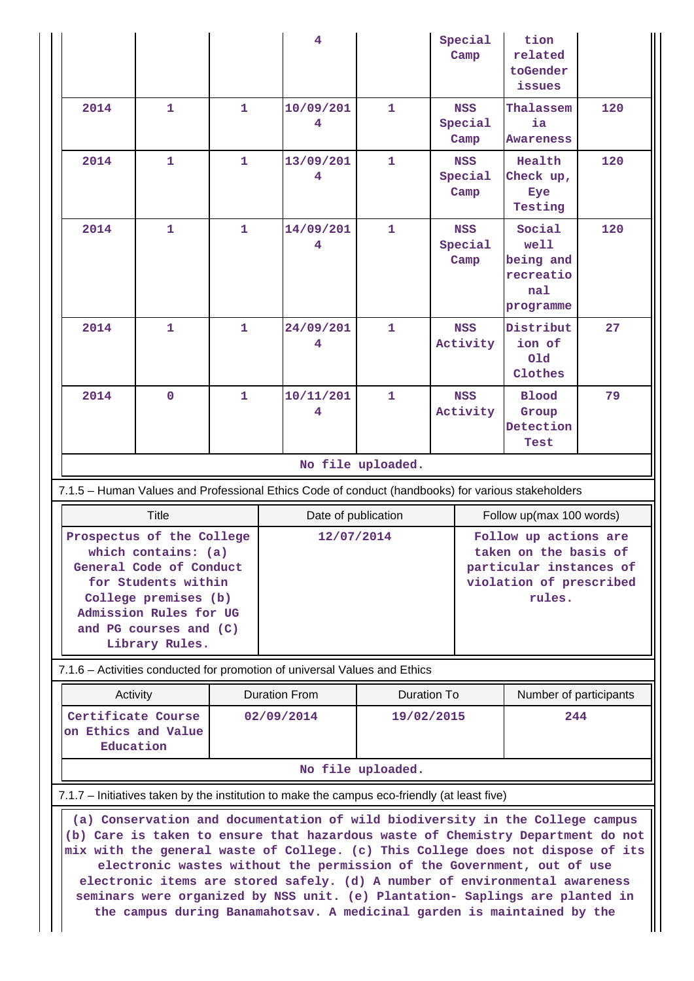|                                                                                                                                                                                                                                                                                                                                                                                                     |                                                                                                                                                                                                  |              | 4                                                                                                 |                   | Special<br>Camp               | tion<br>related<br>toGender<br>issues                                                                          |     |
|-----------------------------------------------------------------------------------------------------------------------------------------------------------------------------------------------------------------------------------------------------------------------------------------------------------------------------------------------------------------------------------------------------|--------------------------------------------------------------------------------------------------------------------------------------------------------------------------------------------------|--------------|---------------------------------------------------------------------------------------------------|-------------------|-------------------------------|----------------------------------------------------------------------------------------------------------------|-----|
| 2014                                                                                                                                                                                                                                                                                                                                                                                                | 1                                                                                                                                                                                                | $\mathbf{1}$ | 10/09/201                                                                                         | 1                 | <b>NSS</b><br>Special<br>Camp | Thalassem<br>ia<br>Awareness                                                                                   | 120 |
| 2014                                                                                                                                                                                                                                                                                                                                                                                                | 1                                                                                                                                                                                                | 1            | 13/09/201<br>4                                                                                    | 1                 | <b>NSS</b><br>Special<br>Camp | Health<br>Check up,<br>Eye<br>Testing                                                                          | 120 |
| 2014                                                                                                                                                                                                                                                                                                                                                                                                | 1                                                                                                                                                                                                | 1            | 14/09/201<br>4                                                                                    | 1                 | <b>NSS</b><br>Special<br>Camp | Social<br>well<br>being and<br>recreatio<br>nal<br>programme                                                   | 120 |
| 2014                                                                                                                                                                                                                                                                                                                                                                                                | 1                                                                                                                                                                                                | $\mathbf{1}$ | 24/09/201                                                                                         | 1                 | <b>NSS</b><br>Activity        | Distribut<br>ion of<br><b>Old</b><br>Clothes                                                                   | 27  |
| 2014                                                                                                                                                                                                                                                                                                                                                                                                | $\mathbf{0}$                                                                                                                                                                                     | $\mathbf{1}$ | 10/11/201<br>4                                                                                    | 1                 | <b>NSS</b><br>Activity        | <b>Blood</b><br>Group<br>Detection<br>Test                                                                     | 79  |
|                                                                                                                                                                                                                                                                                                                                                                                                     |                                                                                                                                                                                                  |              |                                                                                                   | No file uploaded. |                               |                                                                                                                |     |
|                                                                                                                                                                                                                                                                                                                                                                                                     |                                                                                                                                                                                                  |              | 7.1.5 - Human Values and Professional Ethics Code of conduct (handbooks) for various stakeholders |                   |                               |                                                                                                                |     |
| <b>Title</b><br>Follow up(max 100 words)<br>Date of publication                                                                                                                                                                                                                                                                                                                                     |                                                                                                                                                                                                  |              |                                                                                                   |                   |                               |                                                                                                                |     |
|                                                                                                                                                                                                                                                                                                                                                                                                     | Prospectus of the College<br>which contains: (a)<br>General Code of Conduct<br>for Students within<br>College premises (b)<br>Admission Rules for UG<br>and PG courses and (C)<br>Library Rules. |              | 12/07/2014                                                                                        |                   |                               | Follow up actions are<br>taken on the basis of<br>particular instances of<br>violation of prescribed<br>rules. |     |
|                                                                                                                                                                                                                                                                                                                                                                                                     |                                                                                                                                                                                                  |              | 7.1.6 - Activities conducted for promotion of universal Values and Ethics                         |                   |                               |                                                                                                                |     |
| Activity                                                                                                                                                                                                                                                                                                                                                                                            |                                                                                                                                                                                                  |              | <b>Duration From</b><br><b>Duration To</b>                                                        |                   |                               | Number of participants                                                                                         |     |
| Certificate Course<br>on Ethics and Value<br>Education                                                                                                                                                                                                                                                                                                                                              |                                                                                                                                                                                                  |              | 02/09/2014<br>19/02/2015                                                                          |                   |                               | 244                                                                                                            |     |
| No file uploaded.                                                                                                                                                                                                                                                                                                                                                                                   |                                                                                                                                                                                                  |              |                                                                                                   |                   |                               |                                                                                                                |     |
| 7.1.7 – Initiatives taken by the institution to make the campus eco-friendly (at least five)<br>(a) Conservation and documentation of wild biodiversity in the College campus<br>(b) Care is taken to ensure that hazardous waste of Chemistry Department do not                                                                                                                                    |                                                                                                                                                                                                  |              |                                                                                                   |                   |                               |                                                                                                                |     |
| mix with the general waste of College. (c) This College does not dispose of its<br>electronic wastes without the permission of the Government, out of use<br>electronic items are stored safely. (d) A number of environmental awareness<br>seminars were organized by NSS unit. (e) Plantation- Saplings are planted in<br>the campus during Banamahotsav. A medicinal garden is maintained by the |                                                                                                                                                                                                  |              |                                                                                                   |                   |                               |                                                                                                                |     |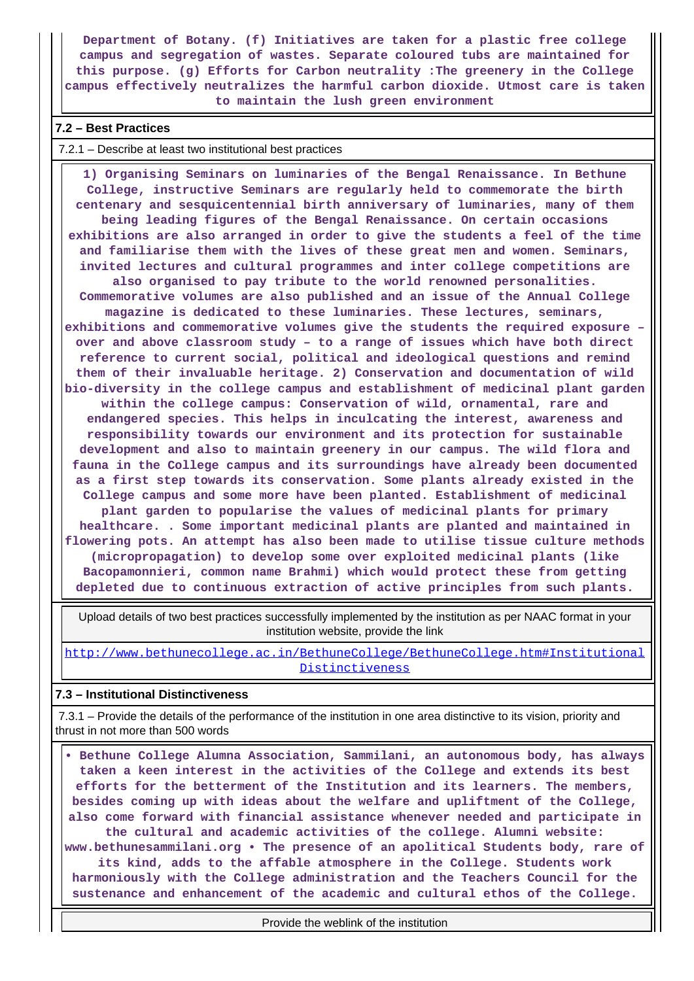**Department of Botany. (f) Initiatives are taken for a plastic free college campus and segregation of wastes. Separate coloured tubs are maintained for this purpose. (g) Efforts for Carbon neutrality :The greenery in the College campus effectively neutralizes the harmful carbon dioxide. Utmost care is taken to maintain the lush green environment**

## **7.2 – Best Practices**

#### 7.2.1 – Describe at least two institutional best practices

 **1) Organising Seminars on luminaries of the Bengal Renaissance. In Bethune College, instructive Seminars are regularly held to commemorate the birth centenary and sesquicentennial birth anniversary of luminaries, many of them being leading figures of the Bengal Renaissance. On certain occasions exhibitions are also arranged in order to give the students a feel of the time and familiarise them with the lives of these great men and women. Seminars, invited lectures and cultural programmes and inter college competitions are also organised to pay tribute to the world renowned personalities. Commemorative volumes are also published and an issue of the Annual College magazine is dedicated to these luminaries. These lectures, seminars, exhibitions and commemorative volumes give the students the required exposure – over and above classroom study – to a range of issues which have both direct reference to current social, political and ideological questions and remind them of their invaluable heritage. 2) Conservation and documentation of wild bio-diversity in the college campus and establishment of medicinal plant garden within the college campus: Conservation of wild, ornamental, rare and endangered species. This helps in inculcating the interest, awareness and responsibility towards our environment and its protection for sustainable development and also to maintain greenery in our campus. The wild flora and fauna in the College campus and its surroundings have already been documented as a first step towards its conservation. Some plants already existed in the College campus and some more have been planted. Establishment of medicinal plant garden to popularise the values of medicinal plants for primary healthcare. . Some important medicinal plants are planted and maintained in flowering pots. An attempt has also been made to utilise tissue culture methods (micropropagation) to develop some over exploited medicinal plants (like Bacopamonnieri, common name Brahmi) which would protect these from getting depleted due to continuous extraction of active principles from such plants.**

 Upload details of two best practices successfully implemented by the institution as per NAAC format in your institution website, provide the link

[http://www.bethunecollege.ac.in/BethuneCollege/BethuneCollege.htm#Institutional](http://www.bethunecollege.ac.in/BethuneCollege/BethuneCollege.htm#InstitutionalDistinctiveness) [Distinctiveness](http://www.bethunecollege.ac.in/BethuneCollege/BethuneCollege.htm#InstitutionalDistinctiveness)

#### **7.3 – Institutional Distinctiveness**

 7.3.1 – Provide the details of the performance of the institution in one area distinctive to its vision, priority and thrust in not more than 500 words

 **• Bethune College Alumna Association, Sammilani, an autonomous body, has always taken a keen interest in the activities of the College and extends its best efforts for the betterment of the Institution and its learners. The members, besides coming up with ideas about the welfare and upliftment of the College, also come forward with financial assistance whenever needed and participate in the cultural and academic activities of the college. Alumni website: www.bethunesammilani.org • The presence of an apolitical Students body, rare of its kind, adds to the affable atmosphere in the College. Students work harmoniously with the College administration and the Teachers Council for the sustenance and enhancement of the academic and cultural ethos of the College.**